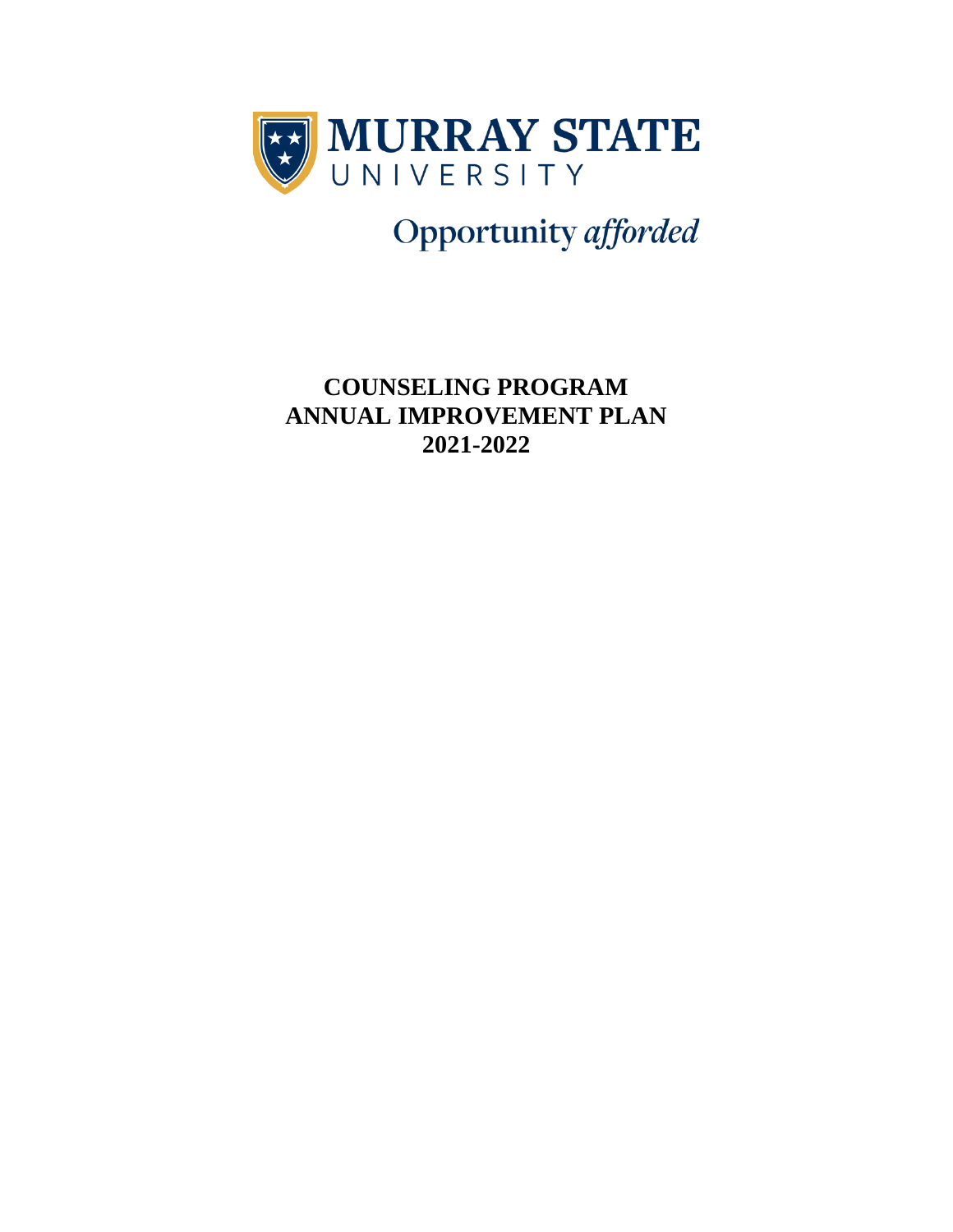

Opportunity afforded

**COUNSELING PROGRAM ANNUAL IMPROVEMENT PLAN 2021-2022**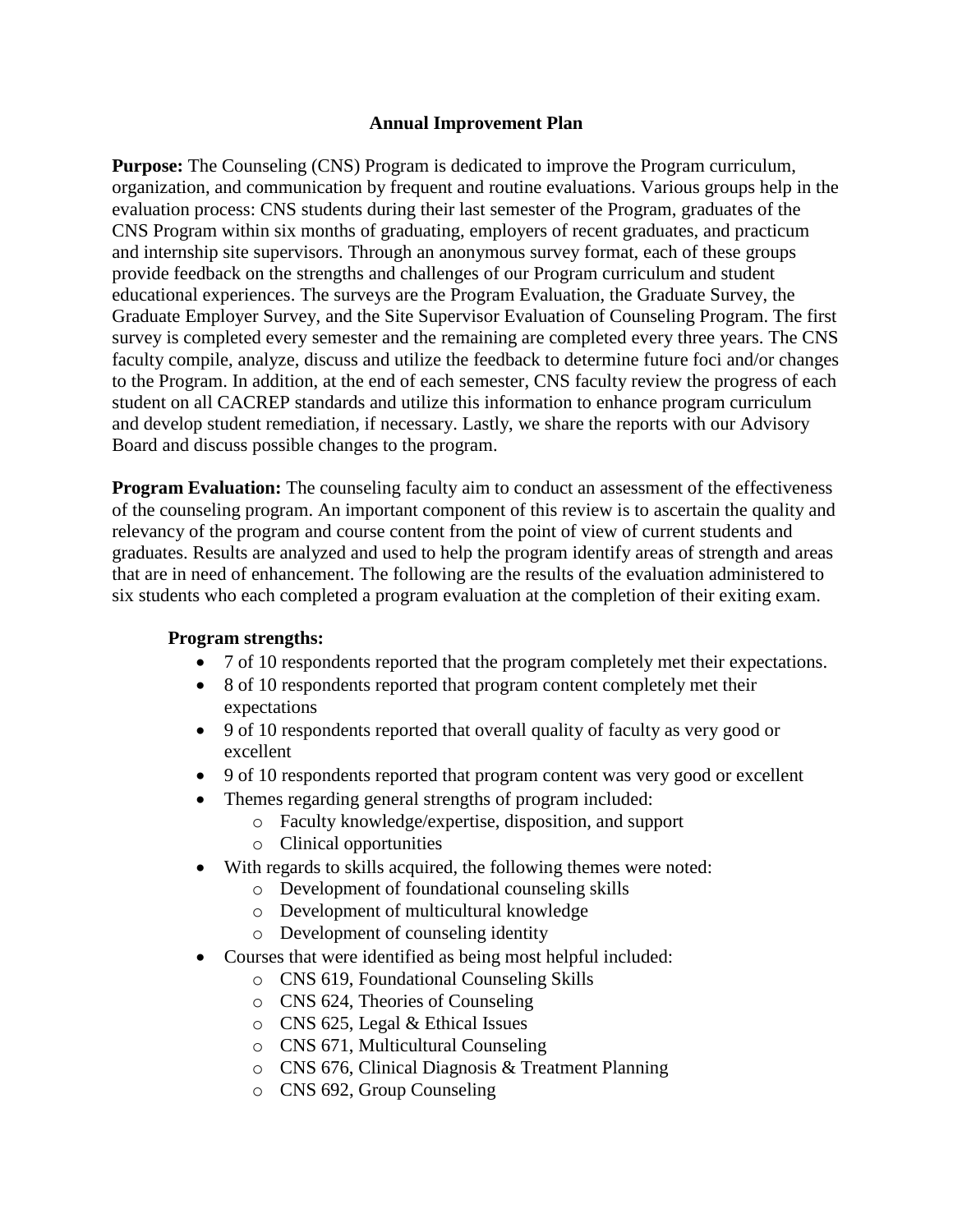#### **Annual Improvement Plan**

**Purpose:** The Counseling (CNS) Program is dedicated to improve the Program curriculum, organization, and communication by frequent and routine evaluations. Various groups help in the evaluation process: CNS students during their last semester of the Program, graduates of the CNS Program within six months of graduating, employers of recent graduates, and practicum and internship site supervisors. Through an anonymous survey format, each of these groups provide feedback on the strengths and challenges of our Program curriculum and student educational experiences. The surveys are the Program Evaluation, the Graduate Survey, the Graduate Employer Survey, and the Site Supervisor Evaluation of Counseling Program. The first survey is completed every semester and the remaining are completed every three years. The CNS faculty compile, analyze, discuss and utilize the feedback to determine future foci and/or changes to the Program. In addition, at the end of each semester, CNS faculty review the progress of each student on all CACREP standards and utilize this information to enhance program curriculum and develop student remediation, if necessary. Lastly, we share the reports with our Advisory Board and discuss possible changes to the program.

**Program Evaluation:** The counseling faculty aim to conduct an assessment of the effectiveness of the counseling program. An important component of this review is to ascertain the quality and relevancy of the program and course content from the point of view of current students and graduates. Results are analyzed and used to help the program identify areas of strength and areas that are in need of enhancement. The following are the results of the evaluation administered to six students who each completed a program evaluation at the completion of their exiting exam.

## **Program strengths:**

- 7 of 10 respondents reported that the program completely met their expectations.
- 8 of 10 respondents reported that program content completely met their expectations
- 9 of 10 respondents reported that overall quality of faculty as very good or excellent
- 9 of 10 respondents reported that program content was very good or excellent
- Themes regarding general strengths of program included:
	- o Faculty knowledge/expertise, disposition, and support
	- o Clinical opportunities
- With regards to skills acquired, the following themes were noted:
	- o Development of foundational counseling skills
	- o Development of multicultural knowledge
	- o Development of counseling identity
- Courses that were identified as being most helpful included:
	- o CNS 619, Foundational Counseling Skills
	- o CNS 624, Theories of Counseling
	- o CNS 625, Legal & Ethical Issues
	- o CNS 671, Multicultural Counseling
	- o CNS 676, Clinical Diagnosis & Treatment Planning
	- o CNS 692, Group Counseling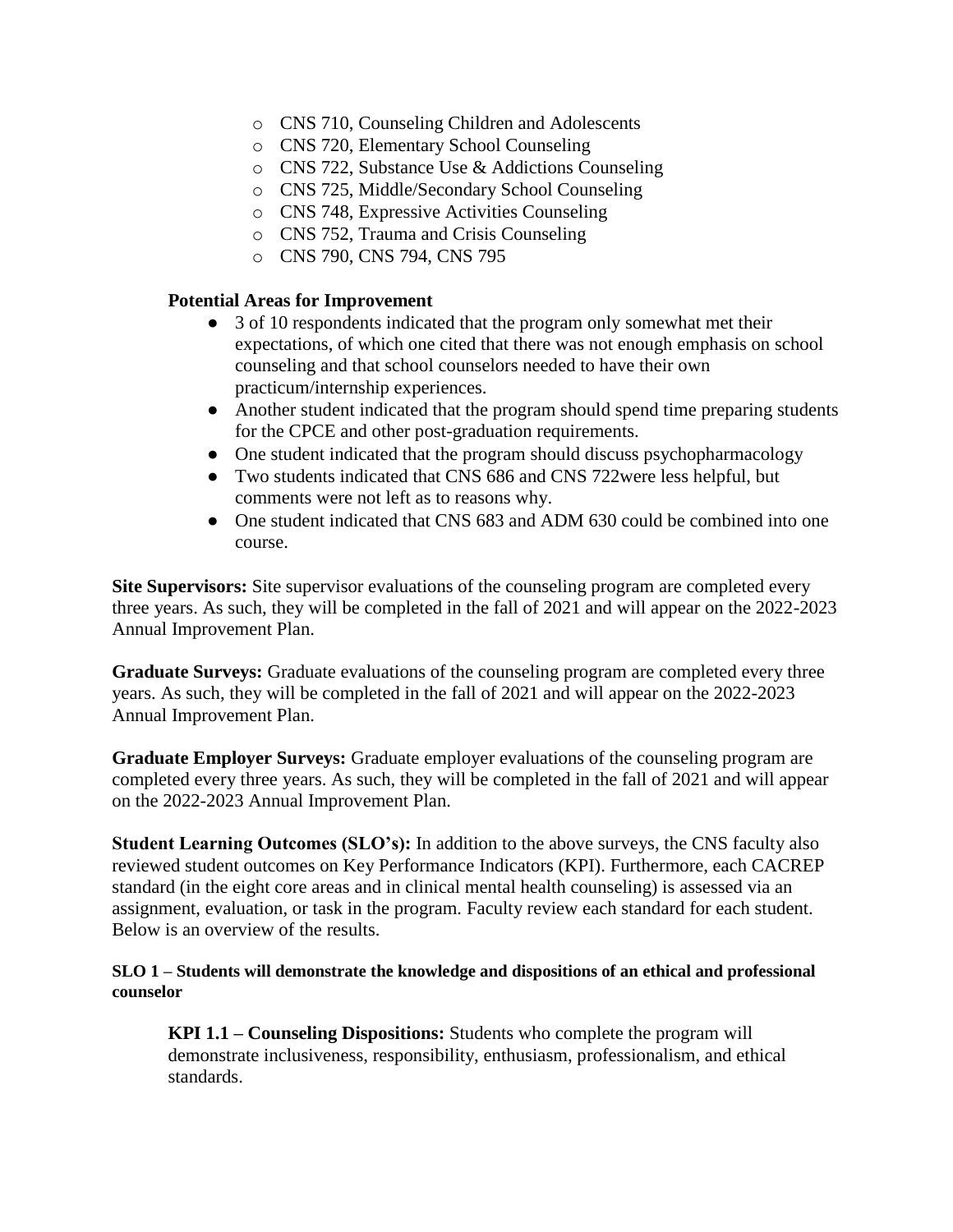- o CNS 710, Counseling Children and Adolescents
- o CNS 720, Elementary School Counseling
- o CNS 722, Substance Use & Addictions Counseling
- o CNS 725, Middle/Secondary School Counseling
- o CNS 748, Expressive Activities Counseling
- o CNS 752, Trauma and Crisis Counseling
- o CNS 790, CNS 794, CNS 795

#### **Potential Areas for Improvement**

- 3 of 10 respondents indicated that the program only somewhat met their expectations, of which one cited that there was not enough emphasis on school counseling and that school counselors needed to have their own practicum/internship experiences.
- Another student indicated that the program should spend time preparing students for the CPCE and other post-graduation requirements.
- One student indicated that the program should discuss psychopharmacology
- Two students indicated that CNS 686 and CNS 722were less helpful, but comments were not left as to reasons why.
- One student indicated that CNS 683 and ADM 630 could be combined into one course.

**Site Supervisors:** Site supervisor evaluations of the counseling program are completed every three years. As such, they will be completed in the fall of 2021 and will appear on the 2022-2023 Annual Improvement Plan.

**Graduate Surveys:** Graduate evaluations of the counseling program are completed every three years. As such, they will be completed in the fall of 2021 and will appear on the 2022-2023 Annual Improvement Plan.

**Graduate Employer Surveys:** Graduate employer evaluations of the counseling program are completed every three years. As such, they will be completed in the fall of 2021 and will appear on the 2022-2023 Annual Improvement Plan.

**Student Learning Outcomes (SLO's):** In addition to the above surveys, the CNS faculty also reviewed student outcomes on Key Performance Indicators (KPI). Furthermore, each CACREP standard (in the eight core areas and in clinical mental health counseling) is assessed via an assignment, evaluation, or task in the program. Faculty review each standard for each student. Below is an overview of the results.

#### **SLO 1 – Students will demonstrate the knowledge and dispositions of an ethical and professional counselor**

**KPI 1.1 – Counseling Dispositions:** Students who complete the program will demonstrate inclusiveness, responsibility, enthusiasm, professionalism, and ethical standards.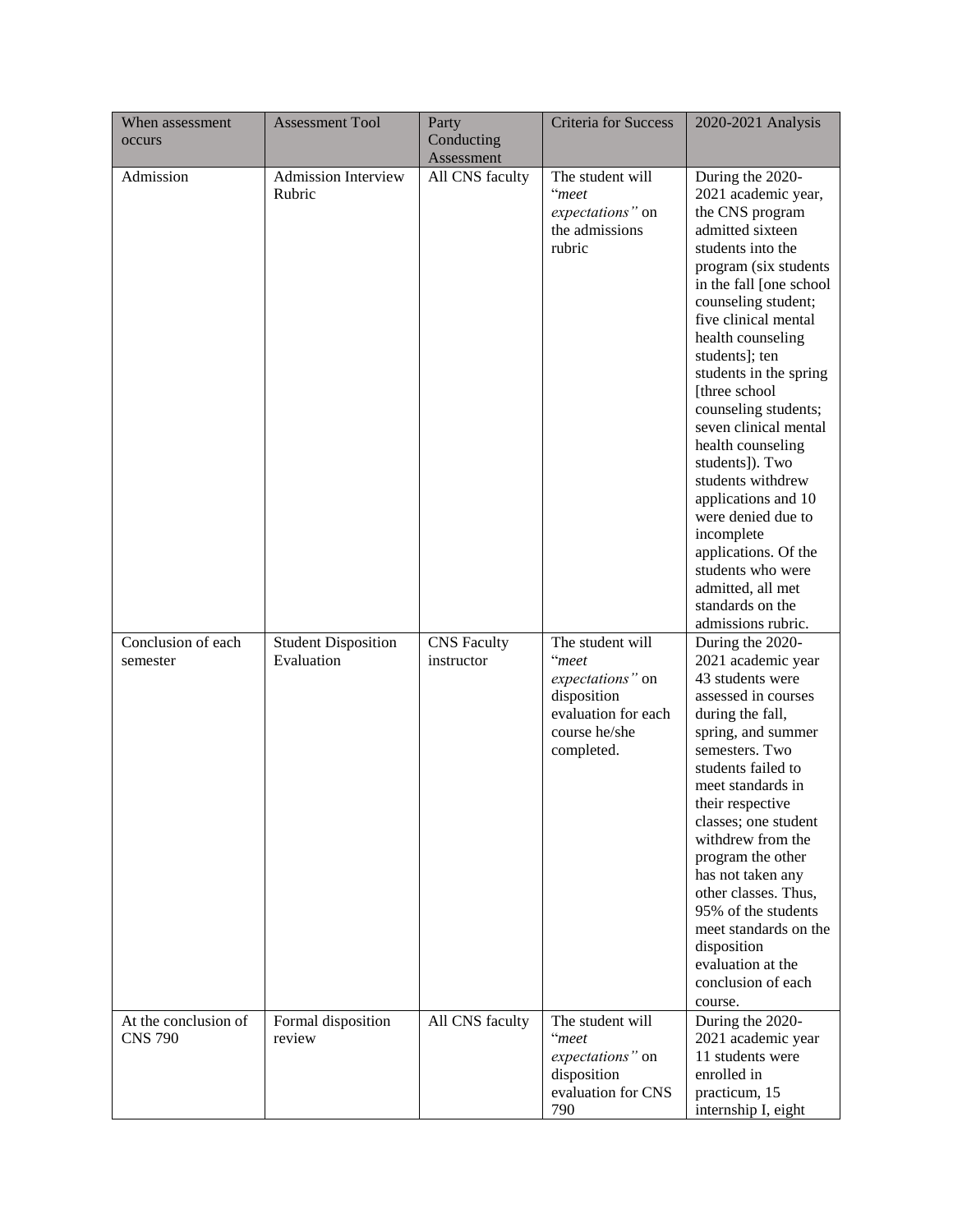| When assessment<br>occurs              | <b>Assessment Tool</b>                   | Party<br>Conducting<br>Assessment | <b>Criteria for Success</b>                                                                                        | 2020-2021 Analysis                                                                                                                                                                                                                                                                                                                                                                                                                                                                                                                                                             |
|----------------------------------------|------------------------------------------|-----------------------------------|--------------------------------------------------------------------------------------------------------------------|--------------------------------------------------------------------------------------------------------------------------------------------------------------------------------------------------------------------------------------------------------------------------------------------------------------------------------------------------------------------------------------------------------------------------------------------------------------------------------------------------------------------------------------------------------------------------------|
| Admission                              | <b>Admission Interview</b><br>Rubric     | All CNS faculty                   | The student will<br>"meet<br>expectations" on<br>the admissions<br>rubric                                          | During the 2020-<br>2021 academic year,<br>the CNS program<br>admitted sixteen<br>students into the<br>program (six students<br>in the fall [one school]<br>counseling student;<br>five clinical mental<br>health counseling<br>students]; ten<br>students in the spring<br>[three school<br>counseling students;<br>seven clinical mental<br>health counseling<br>students]). Two<br>students withdrew<br>applications and 10<br>were denied due to<br>incomplete<br>applications. Of the<br>students who were<br>admitted, all met<br>standards on the<br>admissions rubric. |
| Conclusion of each<br>semester         | <b>Student Disposition</b><br>Evaluation | <b>CNS</b> Faculty<br>instructor  | The student will<br>"meet<br>expectations" on<br>disposition<br>evaluation for each<br>course he/she<br>completed. | During the 2020-<br>2021 academic year<br>43 students were<br>assessed in courses<br>during the fall,<br>spring, and summer<br>semesters. Two<br>students failed to<br>meet standards in<br>their respective<br>classes; one student<br>withdrew from the<br>program the other<br>has not taken any<br>other classes. Thus,<br>95% of the students<br>meet standards on the<br>disposition<br>evaluation at the<br>conclusion of each<br>course.                                                                                                                               |
| At the conclusion of<br><b>CNS 790</b> | Formal disposition<br>review             | All CNS faculty                   | The student will<br>"meet<br>expectations" on<br>disposition<br>evaluation for CNS<br>790                          | During the 2020-<br>2021 academic year<br>11 students were<br>enrolled in<br>practicum, 15<br>internship I, eight                                                                                                                                                                                                                                                                                                                                                                                                                                                              |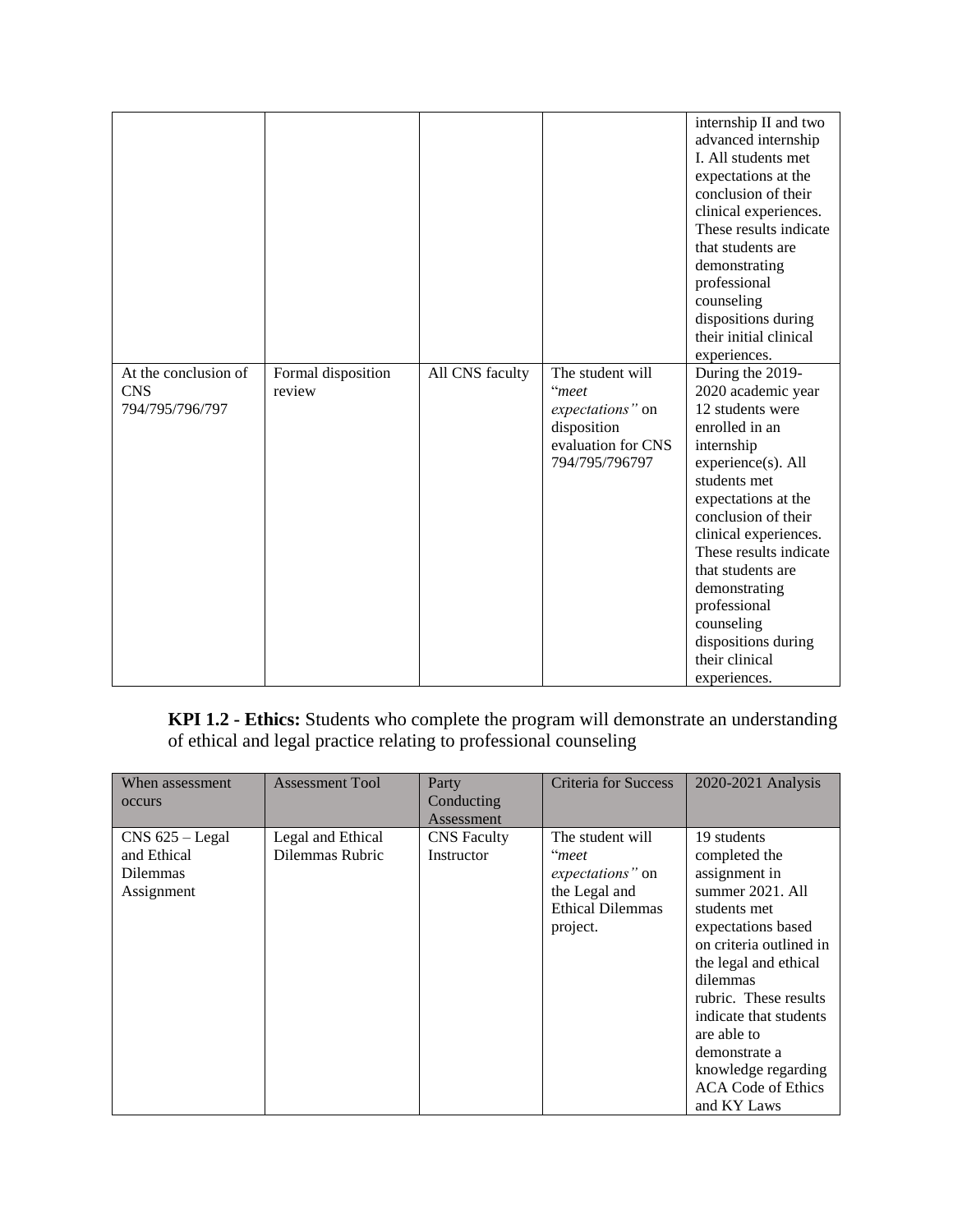|                                                       |                              |                 |                                                                                                      | internship II and two<br>advanced internship<br>I. All students met<br>expectations at the<br>conclusion of their<br>clinical experiences.<br>These results indicate<br>that students are<br>demonstrating<br>professional<br>counseling<br>dispositions during<br>their initial clinical<br>experiences.                                                      |
|-------------------------------------------------------|------------------------------|-----------------|------------------------------------------------------------------------------------------------------|----------------------------------------------------------------------------------------------------------------------------------------------------------------------------------------------------------------------------------------------------------------------------------------------------------------------------------------------------------------|
| At the conclusion of<br><b>CNS</b><br>794/795/796/797 | Formal disposition<br>review | All CNS faculty | The student will<br>"meet<br>expectations" on<br>disposition<br>evaluation for CNS<br>794/795/796797 | During the 2019-<br>2020 academic year<br>12 students were<br>enrolled in an<br>internship<br>experience(s). All<br>students met<br>expectations at the<br>conclusion of their<br>clinical experiences.<br>These results indicate<br>that students are<br>demonstrating<br>professional<br>counseling<br>dispositions during<br>their clinical<br>experiences. |

**KPI 1.2 - Ethics:** Students who complete the program will demonstrate an understanding of ethical and legal practice relating to professional counseling

| When assessment<br>occurs                                         | <b>Assessment Tool</b>               | Party<br>Conducting<br>Assessment | <b>Criteria for Success</b>                                                                           | 2020-2021 Analysis                                                                                                                                                                                                                                                                                                            |
|-------------------------------------------------------------------|--------------------------------------|-----------------------------------|-------------------------------------------------------------------------------------------------------|-------------------------------------------------------------------------------------------------------------------------------------------------------------------------------------------------------------------------------------------------------------------------------------------------------------------------------|
| $CNS$ 625 – Legal<br>and Ethical<br><b>Dilemmas</b><br>Assignment | Legal and Ethical<br>Dilemmas Rubric | <b>CNS</b> Faculty<br>Instructor  | The student will<br>"meet<br>expectations" on<br>the Legal and<br><b>Ethical Dilemmas</b><br>project. | 19 students<br>completed the<br>assignment in<br>summer 2021. All<br>students met<br>expectations based<br>on criteria outlined in<br>the legal and ethical<br>dilemmas<br>rubric. These results<br>indicate that students<br>are able to<br>demonstrate a<br>knowledge regarding<br><b>ACA Code of Ethics</b><br>and KY Laws |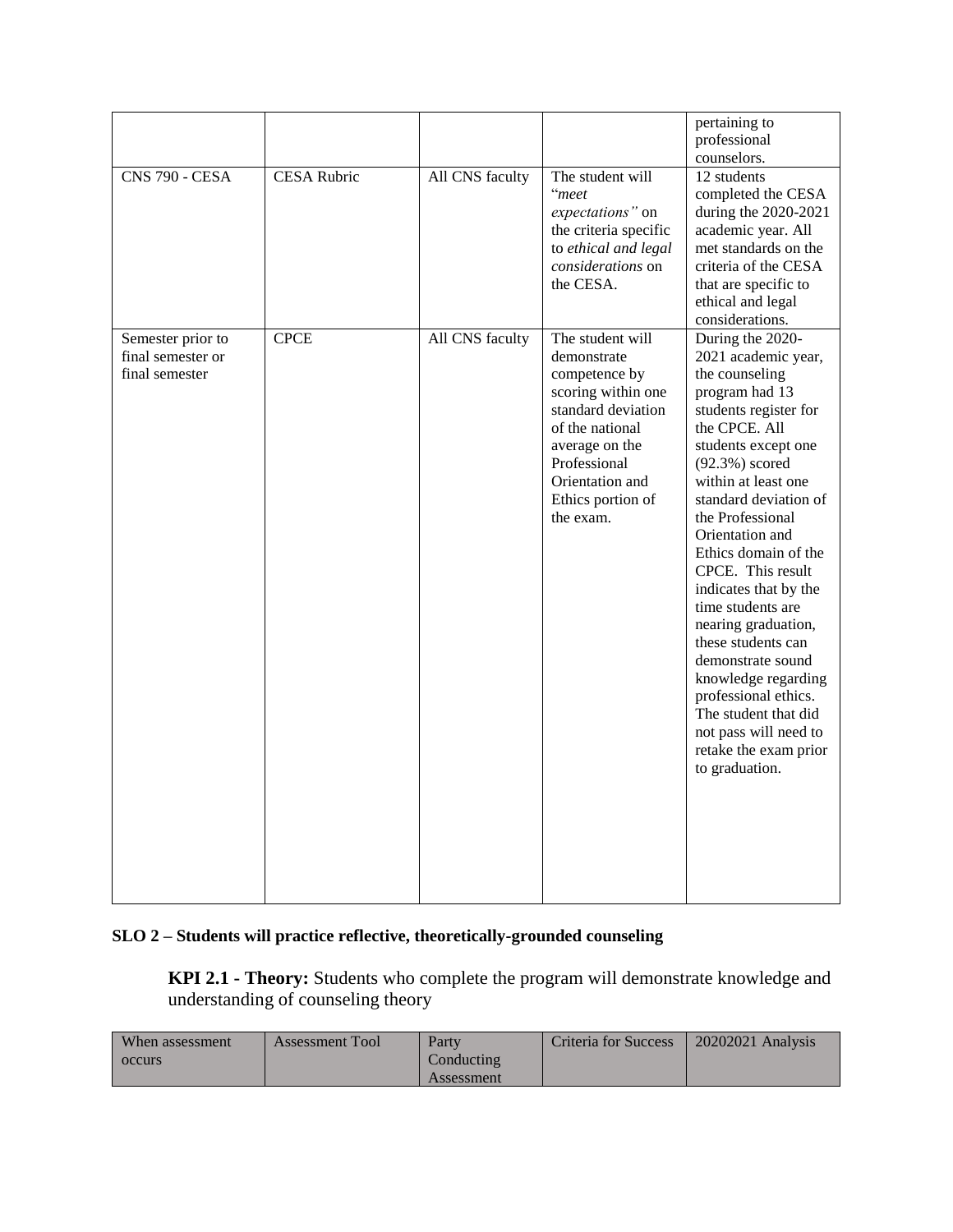|                                                          |                    |                 |                                                                                                                                                                                                        | pertaining to<br>professional<br>counselors.                                                                                                                                                                                                                                                                                                                                                                                                                                                                                                                     |
|----------------------------------------------------------|--------------------|-----------------|--------------------------------------------------------------------------------------------------------------------------------------------------------------------------------------------------------|------------------------------------------------------------------------------------------------------------------------------------------------------------------------------------------------------------------------------------------------------------------------------------------------------------------------------------------------------------------------------------------------------------------------------------------------------------------------------------------------------------------------------------------------------------------|
| <b>CNS 790 - CESA</b>                                    | <b>CESA Rubric</b> | All CNS faculty | The student will<br>"meet<br>expectations" on<br>the criteria specific<br>to ethical and legal<br><i>considerations</i> on<br>the CESA.                                                                | 12 students<br>completed the CESA<br>during the 2020-2021<br>academic year. All<br>met standards on the<br>criteria of the CESA<br>that are specific to<br>ethical and legal<br>considerations.                                                                                                                                                                                                                                                                                                                                                                  |
| Semester prior to<br>final semester or<br>final semester | <b>CPCE</b>        | All CNS faculty | The student will<br>demonstrate<br>competence by<br>scoring within one<br>standard deviation<br>of the national<br>average on the<br>Professional<br>Orientation and<br>Ethics portion of<br>the exam. | During the 2020-<br>2021 academic year,<br>the counseling<br>program had 13<br>students register for<br>the CPCE. All<br>students except one<br>$(92.3\%)$ scored<br>within at least one<br>standard deviation of<br>the Professional<br>Orientation and<br>Ethics domain of the<br>CPCE. This result<br>indicates that by the<br>time students are<br>nearing graduation,<br>these students can<br>demonstrate sound<br>knowledge regarding<br>professional ethics.<br>The student that did<br>not pass will need to<br>retake the exam prior<br>to graduation. |

# **SLO 2 – Students will practice reflective, theoretically-grounded counseling**

**KPI 2.1 - Theory:** Students who complete the program will demonstrate knowledge and understanding of counseling theory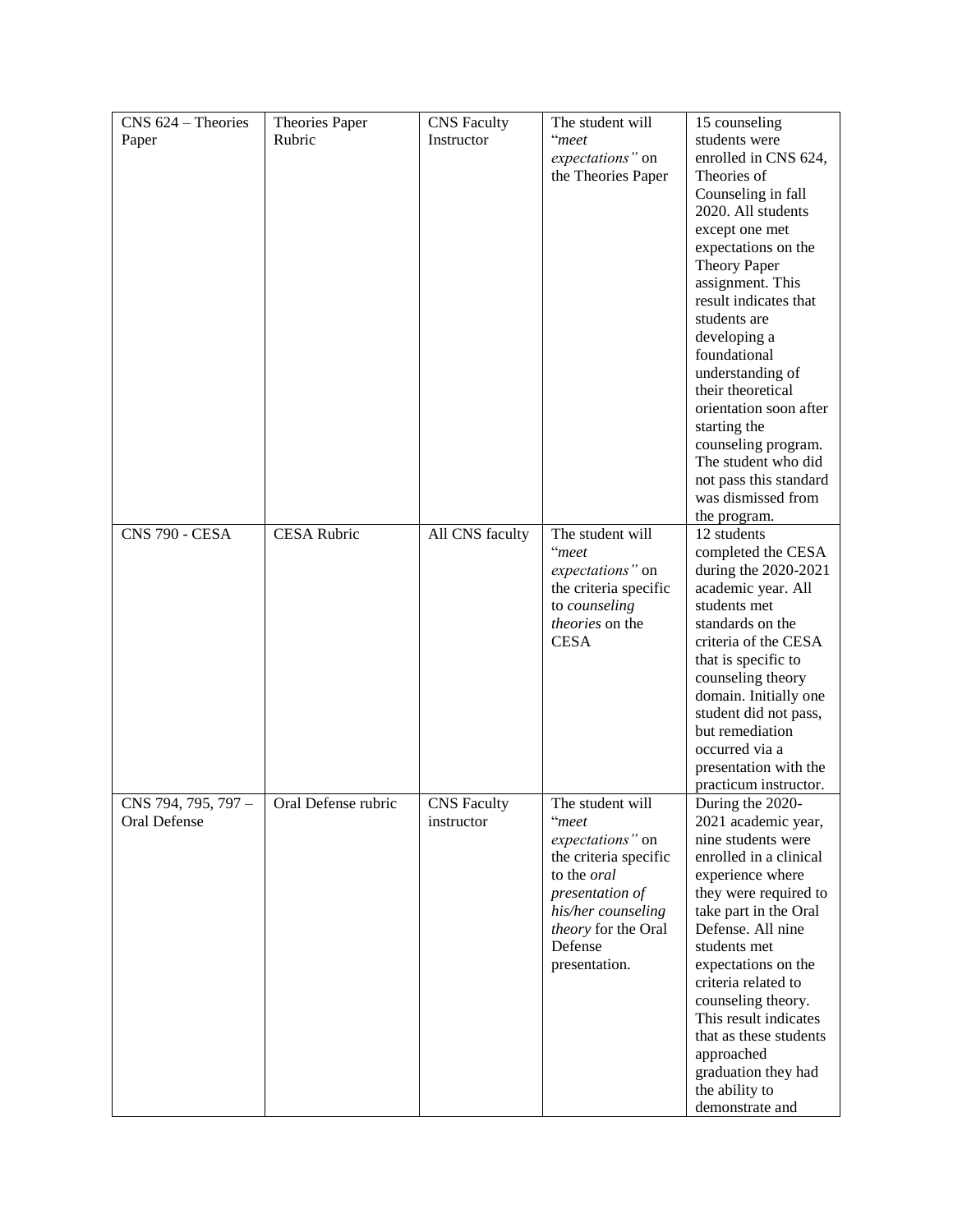| CNS 624 - Theories    | Theories Paper      | <b>CNS</b> Faculty | The student will      | 15 counseling          |
|-----------------------|---------------------|--------------------|-----------------------|------------------------|
| Paper                 | Rubric              | Instructor         | "meet                 | students were          |
|                       |                     |                    | expectations" on      | enrolled in CNS 624,   |
|                       |                     |                    | the Theories Paper    | Theories of            |
|                       |                     |                    |                       | Counseling in fall     |
|                       |                     |                    |                       | 2020. All students     |
|                       |                     |                    |                       | except one met         |
|                       |                     |                    |                       | expectations on the    |
|                       |                     |                    |                       | <b>Theory Paper</b>    |
|                       |                     |                    |                       | assignment. This       |
|                       |                     |                    |                       | result indicates that  |
|                       |                     |                    |                       |                        |
|                       |                     |                    |                       | students are           |
|                       |                     |                    |                       | developing a           |
|                       |                     |                    |                       | foundational           |
|                       |                     |                    |                       | understanding of       |
|                       |                     |                    |                       | their theoretical      |
|                       |                     |                    |                       | orientation soon after |
|                       |                     |                    |                       | starting the           |
|                       |                     |                    |                       | counseling program.    |
|                       |                     |                    |                       | The student who did    |
|                       |                     |                    |                       | not pass this standard |
|                       |                     |                    |                       | was dismissed from     |
|                       |                     |                    |                       | the program.           |
| <b>CNS 790 - CESA</b> | <b>CESA Rubric</b>  | All CNS faculty    | The student will      | 12 students            |
|                       |                     |                    | "meet                 | completed the CESA     |
|                       |                     |                    | expectations" on      | during the 2020-2021   |
|                       |                     |                    | the criteria specific | academic year. All     |
|                       |                     |                    | to counseling         | students met           |
|                       |                     |                    | theories on the       | standards on the       |
|                       |                     |                    | <b>CESA</b>           | criteria of the CESA   |
|                       |                     |                    |                       | that is specific to    |
|                       |                     |                    |                       | counseling theory      |
|                       |                     |                    |                       | domain. Initially one  |
|                       |                     |                    |                       | student did not pass,  |
|                       |                     |                    |                       | but remediation        |
|                       |                     |                    |                       | occurred via a         |
|                       |                     |                    |                       | presentation with the  |
|                       |                     |                    |                       | practicum instructor.  |
| CNS 794, 795, 797 -   | Oral Defense rubric | <b>CNS</b> Faculty | The student will      | During the 2020-       |
| Oral Defense          |                     | instructor         | "meet                 | 2021 academic year,    |
|                       |                     |                    | expectations" on      | nine students were     |
|                       |                     |                    | the criteria specific | enrolled in a clinical |
|                       |                     |                    | to the oral           | experience where       |
|                       |                     |                    | presentation of       | they were required to  |
|                       |                     |                    | his/her counseling    | take part in the Oral  |
|                       |                     |                    | theory for the Oral   | Defense. All nine      |
|                       |                     |                    | Defense               | students met           |
|                       |                     |                    | presentation.         | expectations on the    |
|                       |                     |                    |                       | criteria related to    |
|                       |                     |                    |                       | counseling theory.     |
|                       |                     |                    |                       |                        |
|                       |                     |                    |                       | This result indicates  |
|                       |                     |                    |                       | that as these students |
|                       |                     |                    |                       | approached             |
|                       |                     |                    |                       | graduation they had    |
|                       |                     |                    |                       | the ability to         |
|                       |                     |                    |                       | demonstrate and        |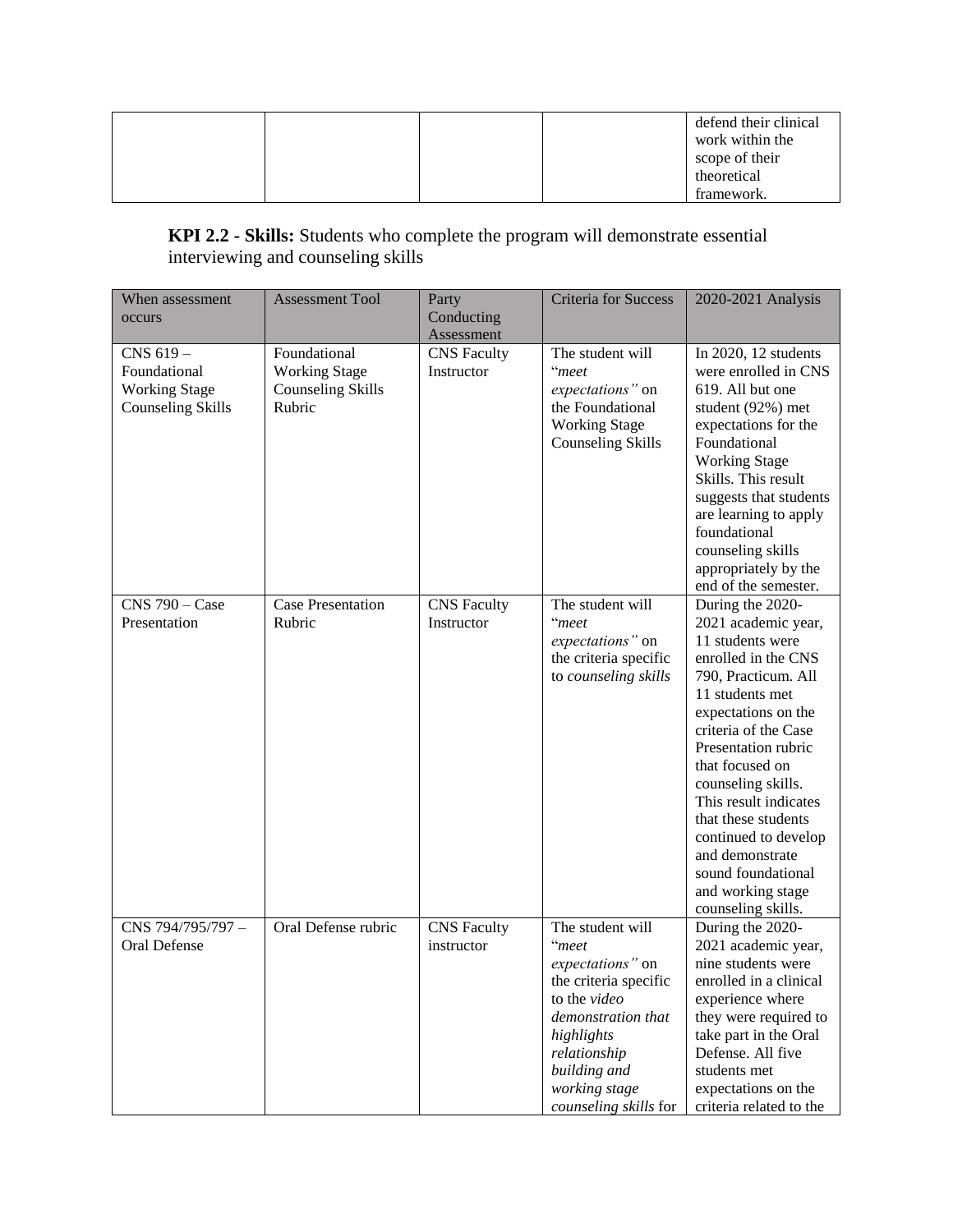|  |  | defend their clinical |
|--|--|-----------------------|
|  |  | work within the       |
|  |  | scope of their        |
|  |  | theoretical           |
|  |  | framework.            |

# **KPI 2.2 - Skills:** Students who complete the program will demonstrate essential interviewing and counseling skills

| When assessment                                                              | <b>Assessment Tool</b>                                                     | Party                            | <b>Criteria for Success</b>                                                                                                                                                                          | 2020-2021 Analysis                                                                                                                                                                                                                                                                                                                                                                                      |
|------------------------------------------------------------------------------|----------------------------------------------------------------------------|----------------------------------|------------------------------------------------------------------------------------------------------------------------------------------------------------------------------------------------------|---------------------------------------------------------------------------------------------------------------------------------------------------------------------------------------------------------------------------------------------------------------------------------------------------------------------------------------------------------------------------------------------------------|
| occurs                                                                       |                                                                            | Conducting<br>Assessment         |                                                                                                                                                                                                      |                                                                                                                                                                                                                                                                                                                                                                                                         |
| CNS 619-<br>Foundational<br><b>Working Stage</b><br><b>Counseling Skills</b> | Foundational<br><b>Working Stage</b><br><b>Counseling Skills</b><br>Rubric | <b>CNS</b> Faculty<br>Instructor | The student will<br>"meet<br>expectations" on<br>the Foundational<br><b>Working Stage</b><br><b>Counseling Skills</b>                                                                                | In 2020, 12 students<br>were enrolled in CNS<br>619. All but one<br>student (92%) met<br>expectations for the<br>Foundational<br><b>Working Stage</b><br>Skills. This result<br>suggests that students<br>are learning to apply<br>foundational<br>counseling skills<br>appropriately by the<br>end of the semester.                                                                                    |
| $C$ NS 790 – Case<br>Presentation                                            | <b>Case Presentation</b><br>Rubric                                         | <b>CNS</b> Faculty<br>Instructor | The student will<br>"meet<br>expectations" on<br>the criteria specific<br>to counseling skills                                                                                                       | During the 2020-<br>2021 academic year,<br>11 students were<br>enrolled in the CNS<br>790, Practicum. All<br>11 students met<br>expectations on the<br>criteria of the Case<br>Presentation rubric<br>that focused on<br>counseling skills.<br>This result indicates<br>that these students<br>continued to develop<br>and demonstrate<br>sound foundational<br>and working stage<br>counseling skills. |
| CNS 794/795/797-<br>Oral Defense                                             | Oral Defense rubric                                                        | <b>CNS</b> Faculty<br>instructor | The student will<br>"meet<br>expectations" on<br>the criteria specific<br>to the video<br>demonstration that<br>highlights<br>relationship<br>building and<br>working stage<br>counseling skills for | During the 2020-<br>2021 academic year,<br>nine students were<br>enrolled in a clinical<br>experience where<br>they were required to<br>take part in the Oral<br>Defense. All five<br>students met<br>expectations on the<br>criteria related to the                                                                                                                                                    |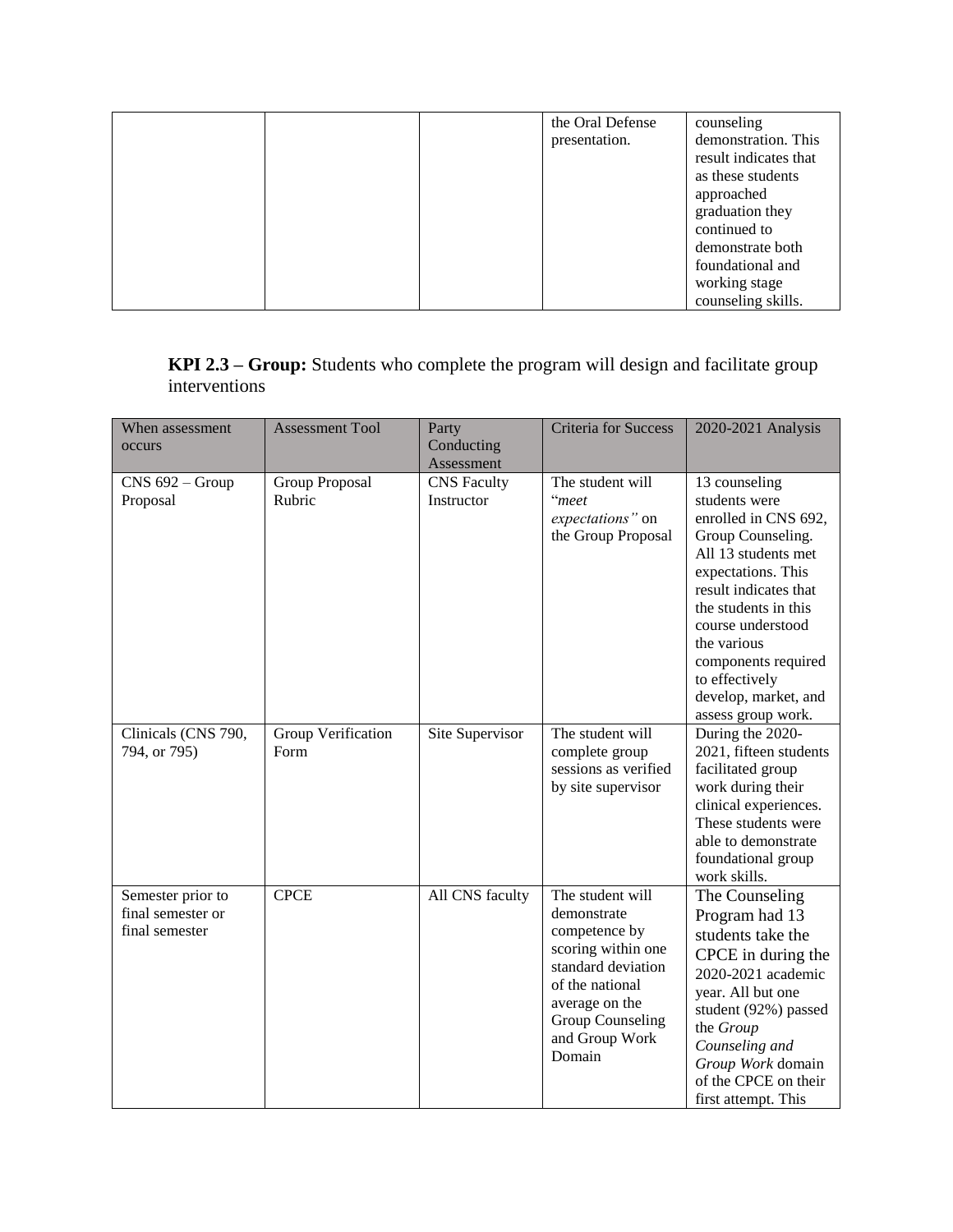|  | the Oral Defense | counseling            |
|--|------------------|-----------------------|
|  | presentation.    | demonstration. This   |
|  |                  | result indicates that |
|  |                  | as these students     |
|  |                  | approached            |
|  |                  | graduation they       |
|  |                  | continued to          |
|  |                  | demonstrate both      |
|  |                  | foundational and      |
|  |                  | working stage         |
|  |                  | counseling skills.    |

**KPI 2.3 – Group:** Students who complete the program will design and facilitate group interventions

| When assessment                                          | <b>Assessment Tool</b>     | Party                            | <b>Criteria for Success</b>                                                                                                                                                       | 2020-2021 Analysis                                                                                                                                                                                                                                                                                   |
|----------------------------------------------------------|----------------------------|----------------------------------|-----------------------------------------------------------------------------------------------------------------------------------------------------------------------------------|------------------------------------------------------------------------------------------------------------------------------------------------------------------------------------------------------------------------------------------------------------------------------------------------------|
| occurs                                                   |                            | Conducting                       |                                                                                                                                                                                   |                                                                                                                                                                                                                                                                                                      |
|                                                          |                            | Assessment                       |                                                                                                                                                                                   |                                                                                                                                                                                                                                                                                                      |
| $CNS 692 - Group$<br>Proposal                            | Group Proposal<br>Rubric   | <b>CNS</b> Faculty<br>Instructor | The student will<br>"meet<br>expectations" on<br>the Group Proposal                                                                                                               | 13 counseling<br>students were<br>enrolled in CNS 692,<br>Group Counseling.<br>All 13 students met<br>expectations. This<br>result indicates that<br>the students in this<br>course understood<br>the various<br>components required<br>to effectively<br>develop, market, and<br>assess group work. |
| Clinicals (CNS 790,<br>794, or 795)                      | Group Verification<br>Form | Site Supervisor                  | The student will<br>complete group<br>sessions as verified<br>by site supervisor                                                                                                  | During the 2020-<br>2021, fifteen students<br>facilitated group<br>work during their<br>clinical experiences.<br>These students were<br>able to demonstrate<br>foundational group<br>work skills.                                                                                                    |
| Semester prior to<br>final semester or<br>final semester | <b>CPCE</b>                | All CNS faculty                  | The student will<br>demonstrate<br>competence by<br>scoring within one<br>standard deviation<br>of the national<br>average on the<br>Group Counseling<br>and Group Work<br>Domain | The Counseling<br>Program had 13<br>students take the<br>CPCE in during the<br>2020-2021 academic<br>year. All but one<br>student (92%) passed<br>the Group<br>Counseling and<br>Group Work domain<br>of the CPCE on their<br>first attempt. This                                                    |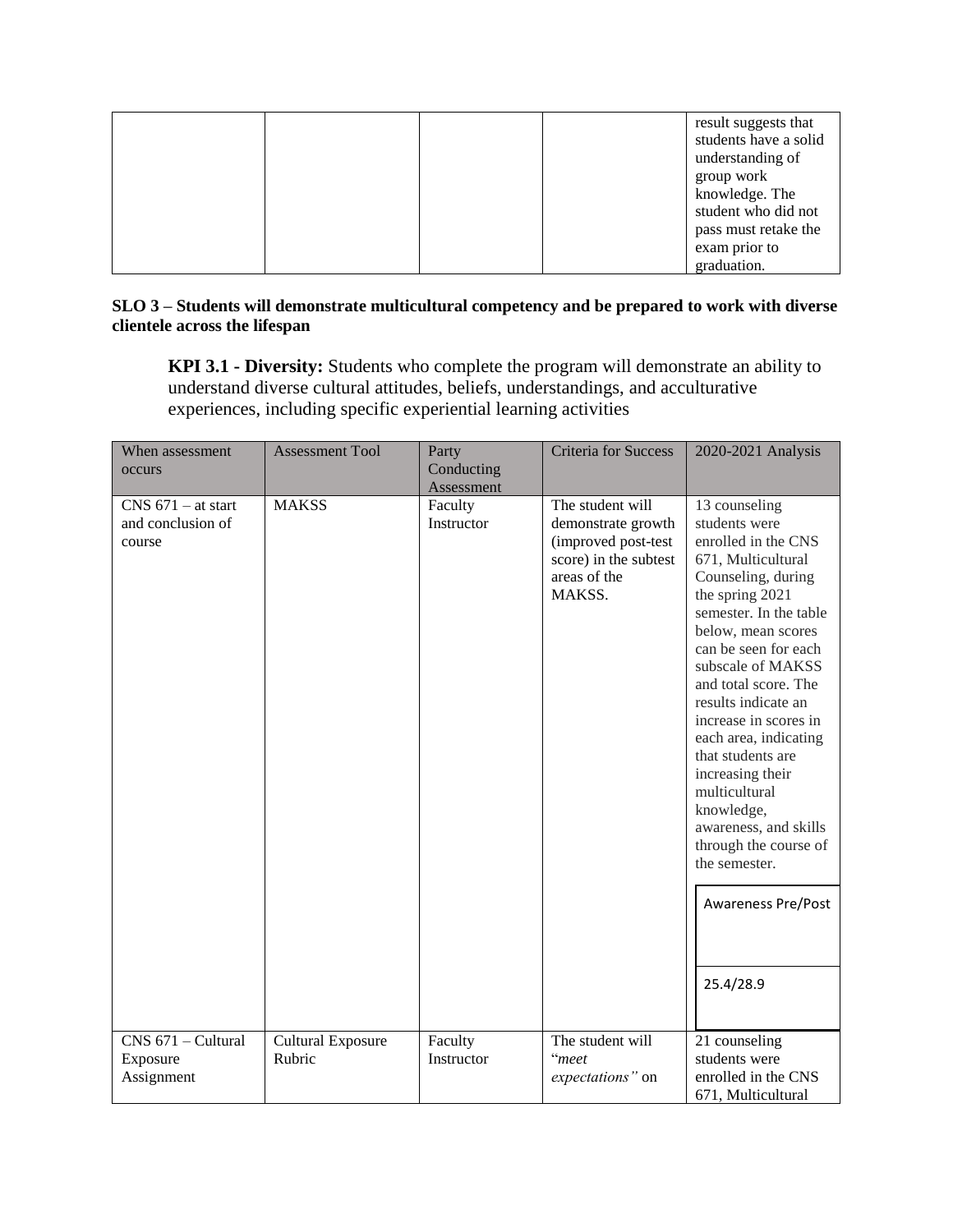|  |  | result suggests that  |
|--|--|-----------------------|
|  |  | students have a solid |
|  |  | understanding of      |
|  |  | group work            |
|  |  | knowledge. The        |
|  |  | student who did not   |
|  |  | pass must retake the  |
|  |  | exam prior to         |
|  |  | graduation.           |

#### **SLO 3 – Students will demonstrate multicultural competency and be prepared to work with diverse clientele across the lifespan**

**KPI 3.1 - Diversity:** Students who complete the program will demonstrate an ability to understand diverse cultural attitudes, beliefs, understandings, and acculturative experiences, including specific experiential learning activities

| When assessment                                     | <b>Assessment Tool</b>             | Party                    | <b>Criteria</b> for Success                                                                                      | 2020-2021 Analysis                                                                                                                                                                                                                                                                                                                                                                                                                                                                               |  |
|-----------------------------------------------------|------------------------------------|--------------------------|------------------------------------------------------------------------------------------------------------------|--------------------------------------------------------------------------------------------------------------------------------------------------------------------------------------------------------------------------------------------------------------------------------------------------------------------------------------------------------------------------------------------------------------------------------------------------------------------------------------------------|--|
| occurs                                              |                                    | Conducting<br>Assessment |                                                                                                                  |                                                                                                                                                                                                                                                                                                                                                                                                                                                                                                  |  |
| $CNS$ 671 – at start<br>and conclusion of<br>course | <b>MAKSS</b>                       | Faculty<br>Instructor    | The student will<br>demonstrate growth<br>(improved post-test<br>score) in the subtest<br>areas of the<br>MAKSS. | 13 counseling<br>students were<br>enrolled in the CNS<br>671, Multicultural<br>Counseling, during<br>the spring 2021<br>semester. In the table<br>below, mean scores<br>can be seen for each<br>subscale of MAKSS<br>and total score. The<br>results indicate an<br>increase in scores in<br>each area, indicating<br>that students are<br>increasing their<br>multicultural<br>knowledge,<br>awareness, and skills<br>through the course of<br>the semester.<br>Awareness Pre/Post<br>25.4/28.9 |  |
| CNS 671 - Cultural<br>Exposure                      | <b>Cultural Exposure</b><br>Rubric | Faculty<br>Instructor    | The student will<br>"meet                                                                                        | 21 counseling<br>students were                                                                                                                                                                                                                                                                                                                                                                                                                                                                   |  |
| Assignment                                          |                                    |                          | expectations" on                                                                                                 | enrolled in the CNS<br>671, Multicultural                                                                                                                                                                                                                                                                                                                                                                                                                                                        |  |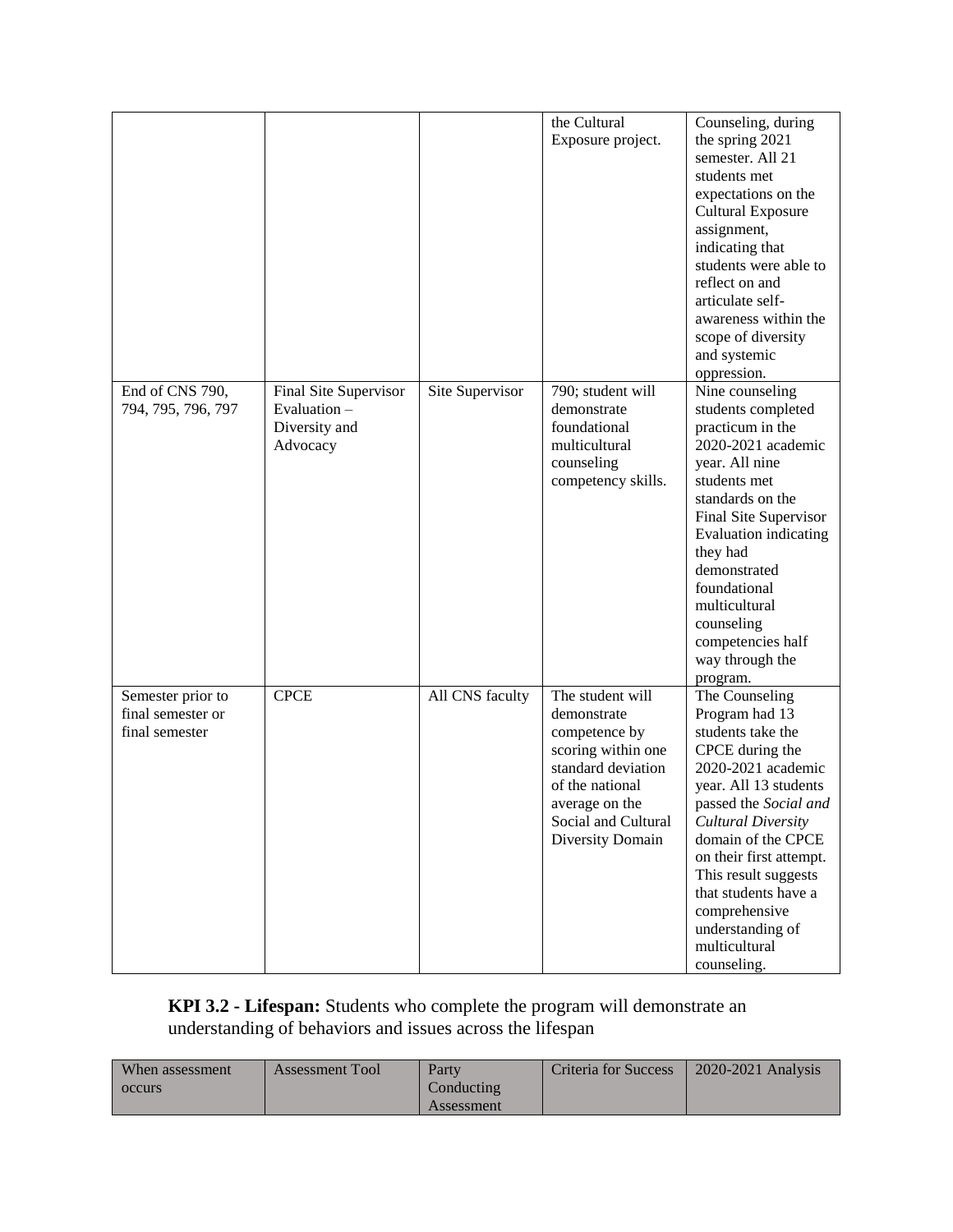|                    |                       |                 | the Cultural        | Counseling, during       |
|--------------------|-----------------------|-----------------|---------------------|--------------------------|
|                    |                       |                 | Exposure project.   | the spring 2021          |
|                    |                       |                 |                     | semester. All 21         |
|                    |                       |                 |                     | students met             |
|                    |                       |                 |                     | expectations on the      |
|                    |                       |                 |                     | <b>Cultural Exposure</b> |
|                    |                       |                 |                     | assignment,              |
|                    |                       |                 |                     | indicating that          |
|                    |                       |                 |                     | students were able to    |
|                    |                       |                 |                     | reflect on and           |
|                    |                       |                 |                     | articulate self-         |
|                    |                       |                 |                     | awareness within the     |
|                    |                       |                 |                     |                          |
|                    |                       |                 |                     | scope of diversity       |
|                    |                       |                 |                     | and systemic             |
|                    |                       |                 |                     | oppression.              |
| End of CNS 790,    | Final Site Supervisor | Site Supervisor | 790; student will   | Nine counseling          |
| 794, 795, 796, 797 | Evaluation $-$        |                 | demonstrate         | students completed       |
|                    | Diversity and         |                 | foundational        | practicum in the         |
|                    | Advocacy              |                 | multicultural       | 2020-2021 academic       |
|                    |                       |                 | counseling          | year. All nine           |
|                    |                       |                 | competency skills.  | students met             |
|                    |                       |                 |                     | standards on the         |
|                    |                       |                 |                     | Final Site Supervisor    |
|                    |                       |                 |                     | Evaluation indicating    |
|                    |                       |                 |                     | they had                 |
|                    |                       |                 |                     | demonstrated             |
|                    |                       |                 |                     | foundational             |
|                    |                       |                 |                     | multicultural            |
|                    |                       |                 |                     | counseling               |
|                    |                       |                 |                     | competencies half        |
|                    |                       |                 |                     |                          |
|                    |                       |                 |                     | way through the          |
|                    |                       |                 |                     | program.                 |
| Semester prior to  | <b>CPCE</b>           | All CNS faculty | The student will    | The Counseling           |
| final semester or  |                       |                 | demonstrate         | Program had 13           |
| final semester     |                       |                 | competence by       | students take the        |
|                    |                       |                 | scoring within one  | CPCE during the          |
|                    |                       |                 | standard deviation  | 2020-2021 academic       |
|                    |                       |                 | of the national     | year. All 13 students    |
|                    |                       |                 | average on the      | passed the Social and    |
|                    |                       |                 | Social and Cultural | Cultural Diversity       |
|                    |                       |                 | Diversity Domain    | domain of the CPCE       |
|                    |                       |                 |                     | on their first attempt.  |
|                    |                       |                 |                     | This result suggests     |
|                    |                       |                 |                     | that students have a     |
|                    |                       |                 |                     | comprehensive            |
|                    |                       |                 |                     | understanding of         |
|                    |                       |                 |                     | multicultural            |
|                    |                       |                 |                     |                          |
|                    |                       |                 |                     | counseling.              |

#### **KPI 3.2 - Lifespan:** Students who complete the program will demonstrate an understanding of behaviors and issues across the lifespan

| When assessment | <b>Assessment Tool</b> | Party             | Criteria for Success | $2020 - 2021$ Analysis |
|-----------------|------------------------|-------------------|----------------------|------------------------|
| occurs          |                        | Conducting        |                      |                        |
|                 |                        | <b>Assessment</b> |                      |                        |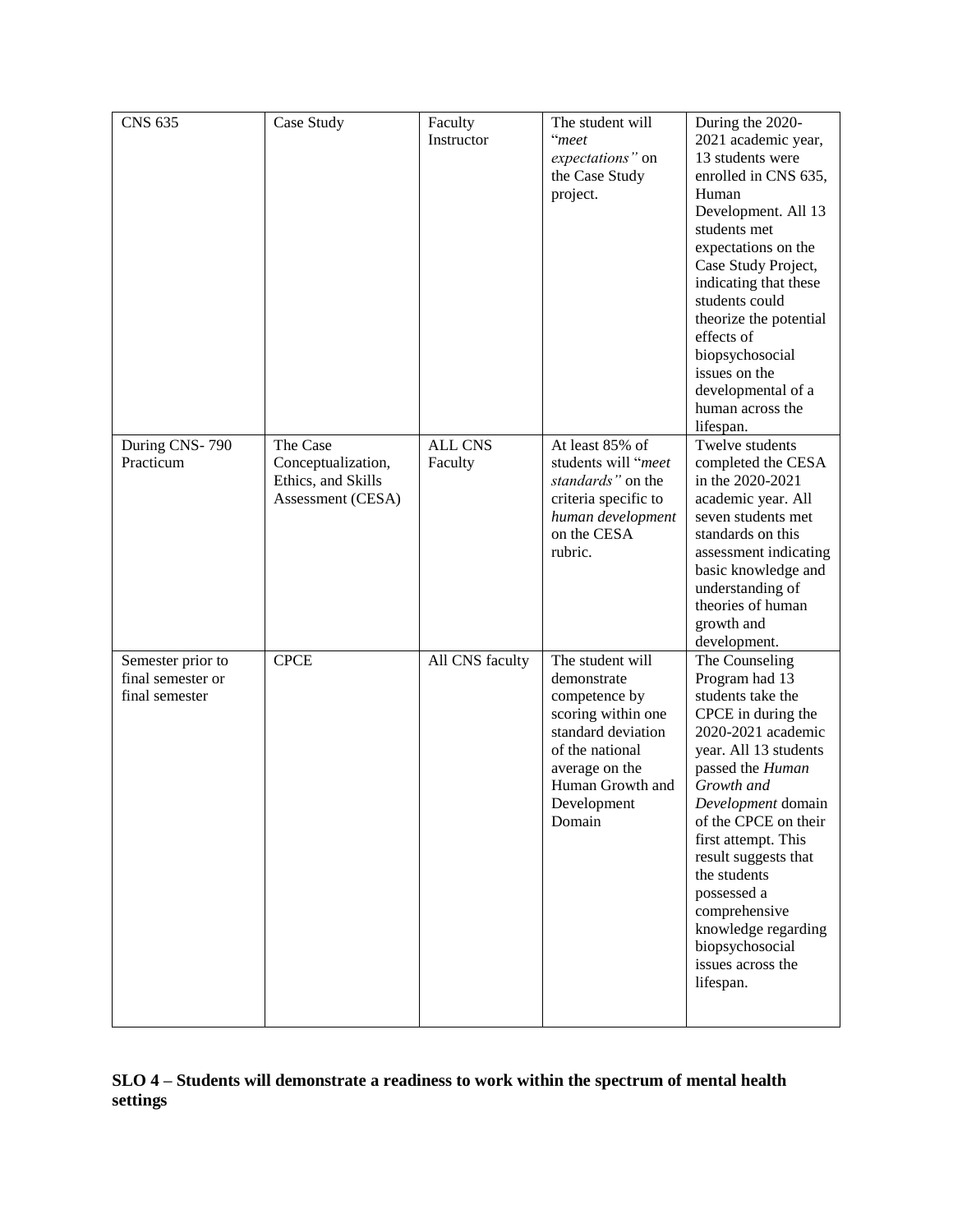| <b>CNS 635</b>    | Case Study         | Faculty         | The student will                    | During the 2020-                        |
|-------------------|--------------------|-----------------|-------------------------------------|-----------------------------------------|
|                   |                    | Instructor      | "meet                               | 2021 academic year,                     |
|                   |                    |                 | expectations" on                    | 13 students were                        |
|                   |                    |                 | the Case Study                      | enrolled in CNS 635,                    |
|                   |                    |                 | project.                            | Human                                   |
|                   |                    |                 |                                     | Development. All 13                     |
|                   |                    |                 |                                     | students met                            |
|                   |                    |                 |                                     | expectations on the                     |
|                   |                    |                 |                                     | Case Study Project,                     |
|                   |                    |                 |                                     | indicating that these                   |
|                   |                    |                 |                                     | students could                          |
|                   |                    |                 |                                     | theorize the potential                  |
|                   |                    |                 |                                     | effects of                              |
|                   |                    |                 |                                     | biopsychosocial                         |
|                   |                    |                 |                                     | issues on the                           |
|                   |                    |                 |                                     | developmental of a<br>human across the  |
|                   |                    |                 |                                     | lifespan.                               |
| During CNS-790    | The Case           | <b>ALL CNS</b>  | At least 85% of                     | Twelve students                         |
| Practicum         | Conceptualization, | Faculty         | students will "meet                 | completed the CESA                      |
|                   | Ethics, and Skills |                 | standards" on the                   | in the 2020-2021                        |
|                   | Assessment (CESA)  |                 | criteria specific to                | academic year. All                      |
|                   |                    |                 | human development                   | seven students met                      |
|                   |                    |                 | on the CESA                         | standards on this                       |
|                   |                    |                 | rubric.                             | assessment indicating                   |
|                   |                    |                 |                                     | basic knowledge and                     |
|                   |                    |                 |                                     | understanding of                        |
|                   |                    |                 |                                     | theories of human                       |
|                   |                    |                 |                                     | growth and                              |
|                   |                    |                 |                                     | development.                            |
| Semester prior to | <b>CPCE</b>        | All CNS faculty | The student will                    | The Counseling                          |
| final semester or |                    |                 | demonstrate                         | Program had 13                          |
| final semester    |                    |                 | competence by<br>scoring within one | students take the<br>CPCE in during the |
|                   |                    |                 | standard deviation                  | 2020-2021 academic                      |
|                   |                    |                 | of the national                     | year. All 13 students                   |
|                   |                    |                 | average on the                      | passed the Human                        |
|                   |                    |                 | Human Growth and                    | Growth and                              |
|                   |                    |                 | Development                         | Development domain                      |
|                   |                    |                 | Domain                              | of the CPCE on their                    |
|                   |                    |                 |                                     | first attempt. This                     |
|                   |                    |                 |                                     | result suggests that                    |
|                   |                    |                 |                                     | the students                            |
|                   |                    |                 |                                     | possessed a                             |
|                   |                    |                 |                                     | comprehensive                           |
|                   |                    |                 |                                     | knowledge regarding                     |
|                   |                    |                 |                                     | biopsychosocial                         |
|                   |                    |                 |                                     | issues across the                       |
|                   |                    |                 |                                     | lifespan.                               |
|                   |                    |                 |                                     |                                         |

## **SLO 4 – Students will demonstrate a readiness to work within the spectrum of mental health settings**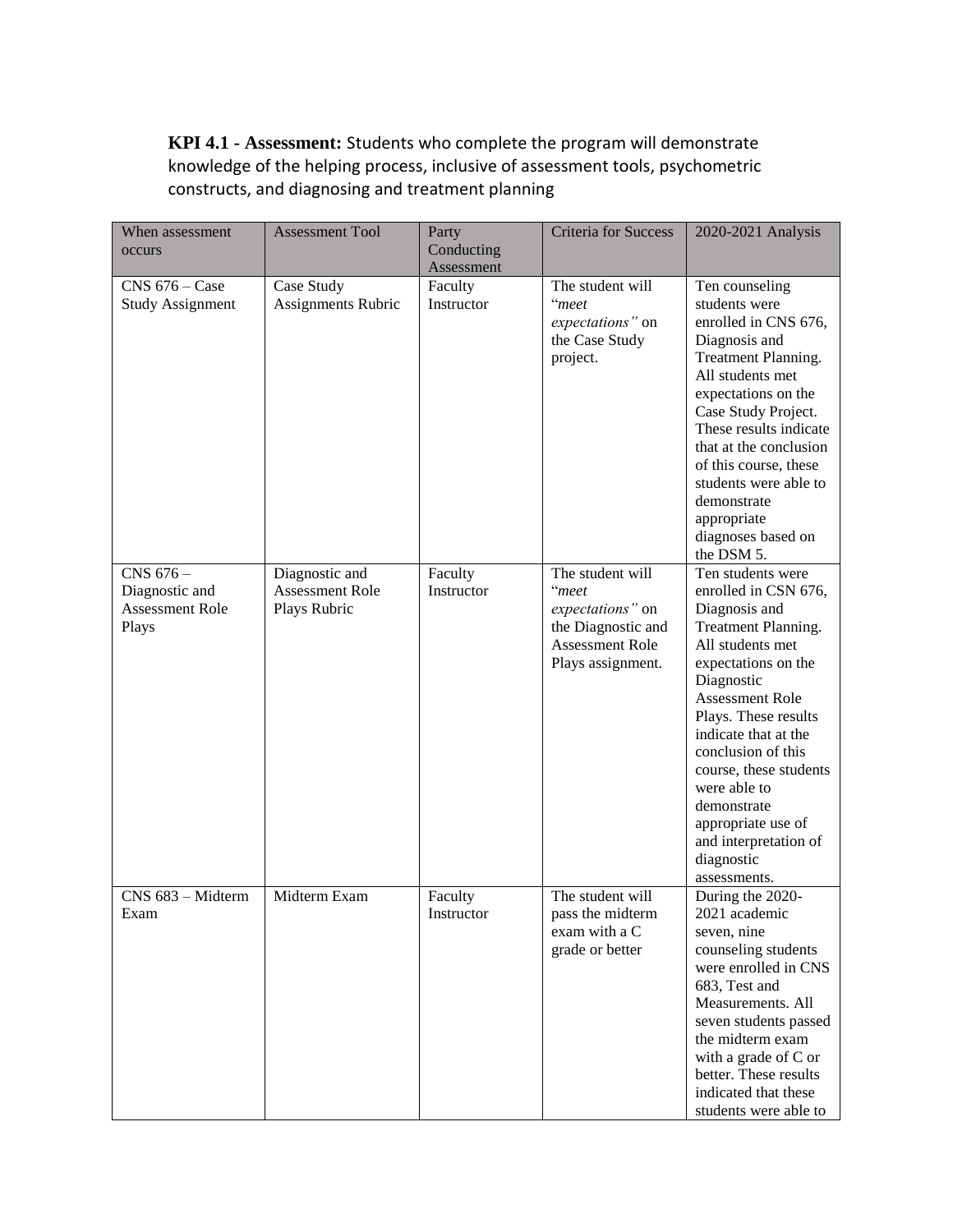**KPI 4.1 - Assessment:** Students who complete the program will demonstrate knowledge of the helping process, inclusive of assessment tools, psychometric constructs, and diagnosing and treatment planning

| When assessment                                                | <b>Assessment Tool</b>                            | Party                 | <b>Criteria for Success</b>                                                                                 | 2020-2021 Analysis                                                                                                                                                                                                                                                                                                                                                        |
|----------------------------------------------------------------|---------------------------------------------------|-----------------------|-------------------------------------------------------------------------------------------------------------|---------------------------------------------------------------------------------------------------------------------------------------------------------------------------------------------------------------------------------------------------------------------------------------------------------------------------------------------------------------------------|
| occurs                                                         |                                                   | Conducting            |                                                                                                             |                                                                                                                                                                                                                                                                                                                                                                           |
|                                                                |                                                   | Assessment            |                                                                                                             |                                                                                                                                                                                                                                                                                                                                                                           |
| $CNS$ 676 – Case<br><b>Study Assignment</b>                    | Case Study<br>Assignments Rubric                  | Faculty<br>Instructor | The student will<br>"meet<br>expectations" on<br>the Case Study<br>project.                                 | Ten counseling<br>students were<br>enrolled in CNS 676,<br>Diagnosis and<br>Treatment Planning.<br>All students met<br>expectations on the<br>Case Study Project.<br>These results indicate<br>that at the conclusion<br>of this course, these<br>students were able to<br>demonstrate<br>appropriate<br>diagnoses based on<br>the DSM 5.                                 |
| CNS 676 -<br>Diagnostic and<br><b>Assessment Role</b><br>Plays | Diagnostic and<br>Assessment Role<br>Plays Rubric | Faculty<br>Instructor | The student will<br>"meet<br>expectations" on<br>the Diagnostic and<br>Assessment Role<br>Plays assignment. | Ten students were<br>enrolled in CSN 676,<br>Diagnosis and<br>Treatment Planning.<br>All students met<br>expectations on the<br>Diagnostic<br>Assessment Role<br>Plays. These results<br>indicate that at the<br>conclusion of this<br>course, these students<br>were able to<br>demonstrate<br>appropriate use of<br>and interpretation of<br>diagnostic<br>assessments. |
| CNS 683 - Midterm<br>Exam                                      | Midterm Exam                                      | Faculty<br>Instructor | The student will<br>pass the midterm<br>exam with a C<br>grade or better                                    | During the 2020-<br>2021 academic<br>seven, nine<br>counseling students<br>were enrolled in CNS<br>683, Test and<br>Measurements. All<br>seven students passed<br>the midterm exam<br>with a grade of C or<br>better. These results<br>indicated that these<br>students were able to                                                                                      |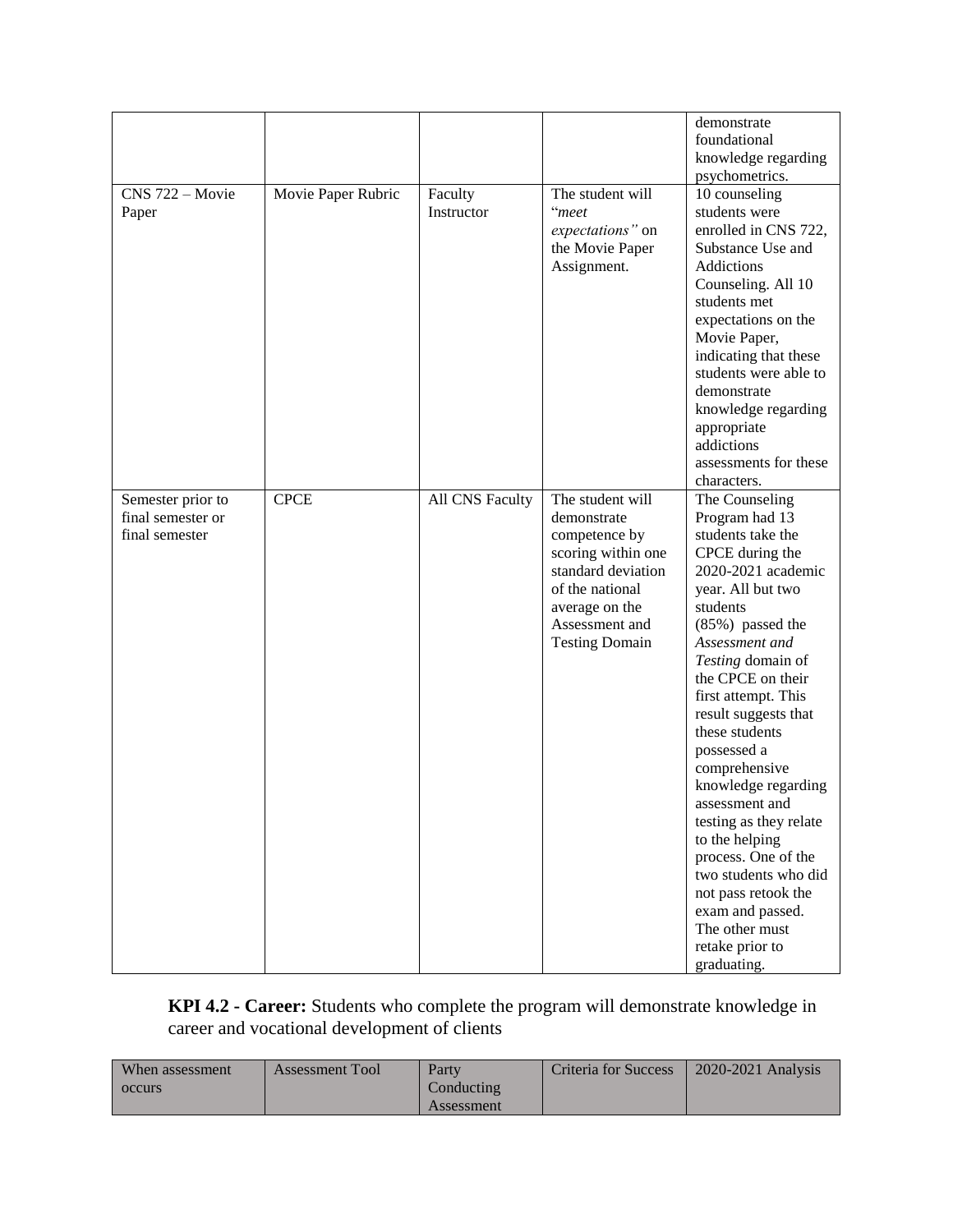|                   |                    |                 |                       | demonstrate<br>foundational                    |
|-------------------|--------------------|-----------------|-----------------------|------------------------------------------------|
|                   |                    |                 |                       | knowledge regarding                            |
|                   |                    |                 |                       | psychometrics.                                 |
| CNS 722 - Movie   | Movie Paper Rubric | Faculty         | The student will      | 10 counseling                                  |
| Paper             |                    | Instructor      | "meet                 | students were                                  |
|                   |                    |                 | expectations" on      | enrolled in CNS 722,                           |
|                   |                    |                 | the Movie Paper       | Substance Use and                              |
|                   |                    |                 | Assignment.           | Addictions                                     |
|                   |                    |                 |                       | Counseling. All 10                             |
|                   |                    |                 |                       | students met                                   |
|                   |                    |                 |                       | expectations on the                            |
|                   |                    |                 |                       |                                                |
|                   |                    |                 |                       | Movie Paper,                                   |
|                   |                    |                 |                       | indicating that these<br>students were able to |
|                   |                    |                 |                       | demonstrate                                    |
|                   |                    |                 |                       | knowledge regarding                            |
|                   |                    |                 |                       | appropriate                                    |
|                   |                    |                 |                       | addictions                                     |
|                   |                    |                 |                       | assessments for these                          |
|                   |                    |                 |                       | characters.                                    |
| Semester prior to | <b>CPCE</b>        | All CNS Faculty | The student will      | The Counseling                                 |
| final semester or |                    |                 | demonstrate           | Program had 13                                 |
| final semester    |                    |                 | competence by         | students take the                              |
|                   |                    |                 | scoring within one    | CPCE during the                                |
|                   |                    |                 | standard deviation    | 2020-2021 academic                             |
|                   |                    |                 | of the national       | year. All but two                              |
|                   |                    |                 | average on the        | students                                       |
|                   |                    |                 | Assessment and        | (85%) passed the                               |
|                   |                    |                 | <b>Testing Domain</b> | Assessment and                                 |
|                   |                    |                 |                       | Testing domain of                              |
|                   |                    |                 |                       | the CPCE on their                              |
|                   |                    |                 |                       | first attempt. This                            |
|                   |                    |                 |                       | result suggests that                           |
|                   |                    |                 |                       | these students                                 |
|                   |                    |                 |                       | possessed a                                    |
|                   |                    |                 |                       | comprehensive                                  |
|                   |                    |                 |                       | knowledge regarding                            |
|                   |                    |                 |                       | assessment and                                 |
|                   |                    |                 |                       | testing as they relate                         |
|                   |                    |                 |                       | to the helping                                 |
|                   |                    |                 |                       | process. One of the                            |
|                   |                    |                 |                       | two students who did                           |
|                   |                    |                 |                       | not pass retook the                            |
|                   |                    |                 |                       | exam and passed.                               |
|                   |                    |                 |                       | The other must                                 |
|                   |                    |                 |                       | retake prior to                                |
|                   |                    |                 |                       | graduating.                                    |

#### **KPI 4.2 - Career:** Students who complete the program will demonstrate knowledge in career and vocational development of clients

| When assessment | <b>Assessment Tool</b> | Party             | Criteria for Success | $2020 - 2021$ Analysis |
|-----------------|------------------------|-------------------|----------------------|------------------------|
| occurs          |                        | Conducting        |                      |                        |
|                 |                        | <b>Assessment</b> |                      |                        |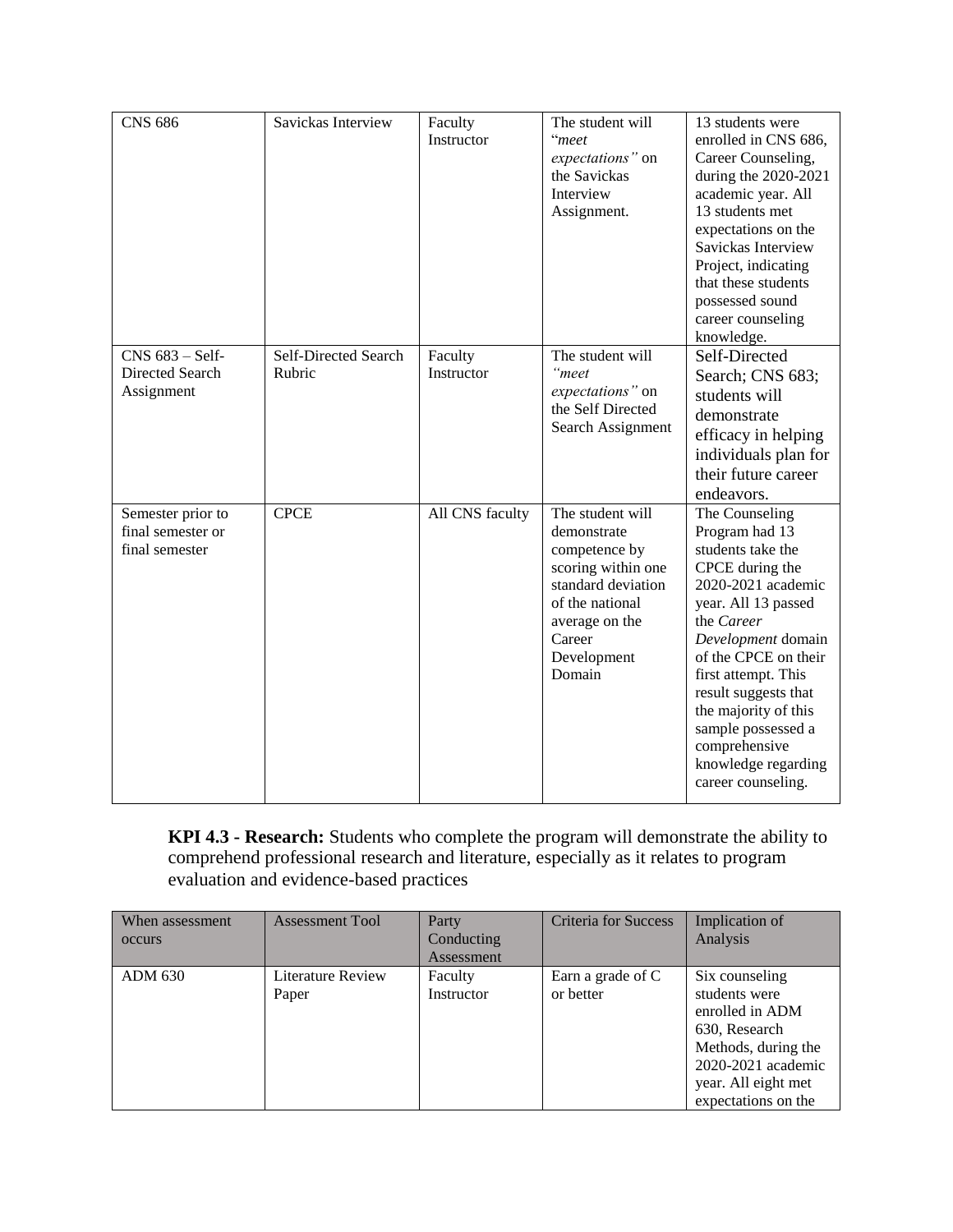| <b>CNS 686</b>                                           | Savickas Interview             | Faculty<br>Instructor | The student will<br>"meet<br>expectations" on<br>the Savickas<br>Interview<br>Assignment.                                                                            | 13 students were<br>enrolled in CNS 686,<br>Career Counseling,<br>during the 2020-2021<br>academic year. All<br>13 students met<br>expectations on the<br>Savickas Interview<br>Project, indicating<br>that these students<br>possessed sound<br>career counseling<br>knowledge.                                                             |
|----------------------------------------------------------|--------------------------------|-----------------------|----------------------------------------------------------------------------------------------------------------------------------------------------------------------|----------------------------------------------------------------------------------------------------------------------------------------------------------------------------------------------------------------------------------------------------------------------------------------------------------------------------------------------|
| $CNS$ 683 – Self-<br>Directed Search<br>Assignment       | Self-Directed Search<br>Rubric | Faculty<br>Instructor | The student will<br>"meet<br>expectations" on<br>the Self Directed<br>Search Assignment                                                                              | Self-Directed<br>Search; CNS 683;<br>students will<br>demonstrate<br>efficacy in helping<br>individuals plan for<br>their future career<br>endeavors.                                                                                                                                                                                        |
| Semester prior to<br>final semester or<br>final semester | <b>CPCE</b>                    | All CNS faculty       | The student will<br>demonstrate<br>competence by<br>scoring within one<br>standard deviation<br>of the national<br>average on the<br>Career<br>Development<br>Domain | The Counseling<br>Program had 13<br>students take the<br>CPCE during the<br>2020-2021 academic<br>year. All 13 passed<br>the Career<br>Development domain<br>of the CPCE on their<br>first attempt. This<br>result suggests that<br>the majority of this<br>sample possessed a<br>comprehensive<br>knowledge regarding<br>career counseling. |

**KPI 4.3 - Research:** Students who complete the program will demonstrate the ability to comprehend professional research and literature, especially as it relates to program evaluation and evidence-based practices

| When assessment<br>occurs | <b>Assessment Tool</b>     | Party<br>Conducting<br><b>Assessment</b> | <b>Criteria for Success</b>    | Implication of<br>Analysis                                                                                                                                     |
|---------------------------|----------------------------|------------------------------------------|--------------------------------|----------------------------------------------------------------------------------------------------------------------------------------------------------------|
| <b>ADM 630</b>            | Literature Review<br>Paper | Faculty<br>Instructor                    | Earn a grade of C<br>or better | Six counseling<br>students were<br>enrolled in ADM<br>630, Research<br>Methods, during the<br>2020-2021 academic<br>year. All eight met<br>expectations on the |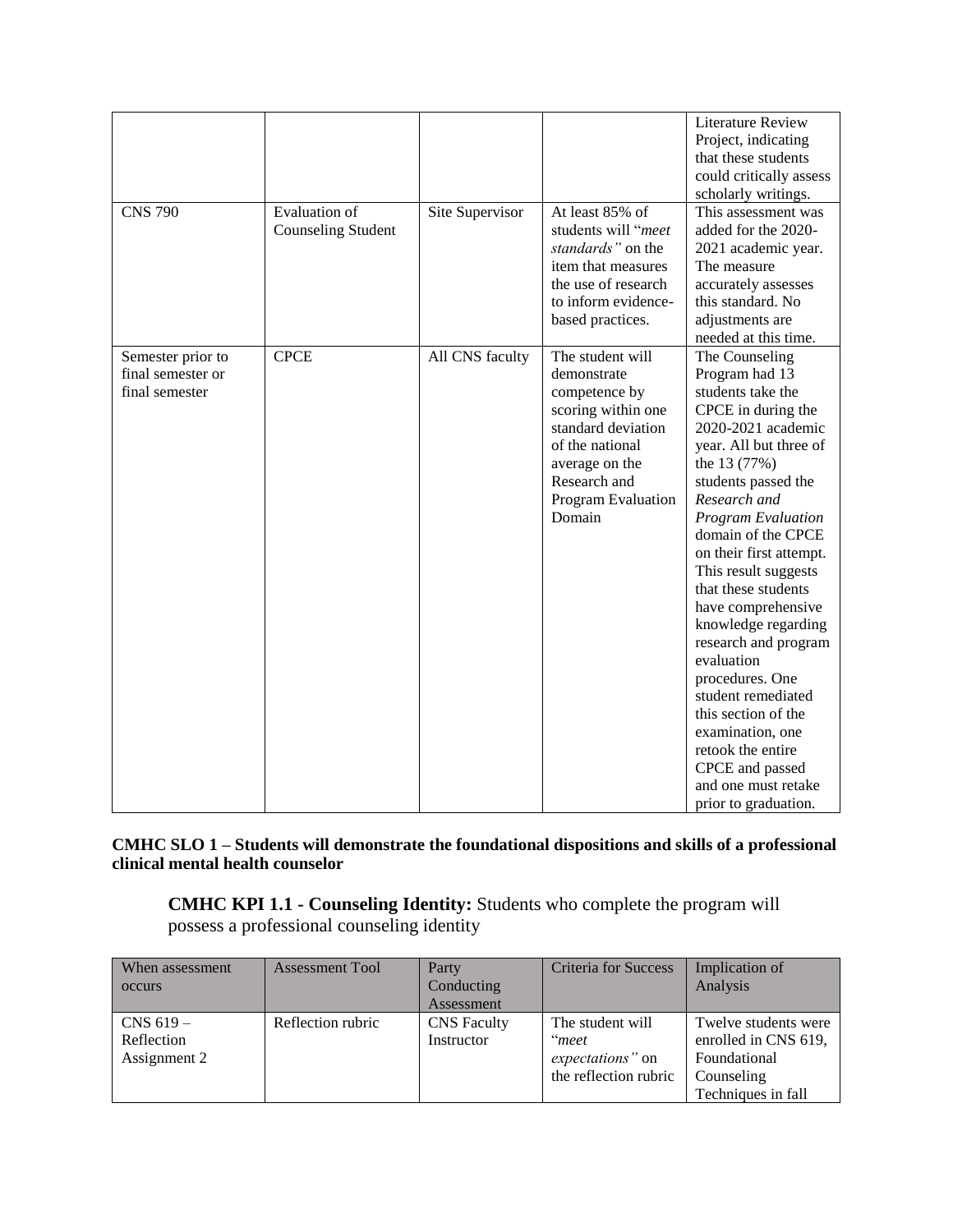| <b>CNS 790</b>                                           | <b>Evaluation</b> of<br><b>Counseling Student</b> | Site Supervisor | At least 85% of<br>students will "meet<br>standards" on the<br>item that measures<br>the use of research<br>to inform evidence-<br>based practices.                               | <b>Literature Review</b><br>Project, indicating<br>that these students<br>could critically assess<br>scholarly writings.<br>This assessment was<br>added for the 2020-<br>2021 academic year.<br>The measure<br>accurately assesses<br>this standard. No<br>adjustments are<br>needed at this time.                                                                                                                                                                                                                                                                    |
|----------------------------------------------------------|---------------------------------------------------|-----------------|-----------------------------------------------------------------------------------------------------------------------------------------------------------------------------------|------------------------------------------------------------------------------------------------------------------------------------------------------------------------------------------------------------------------------------------------------------------------------------------------------------------------------------------------------------------------------------------------------------------------------------------------------------------------------------------------------------------------------------------------------------------------|
| Semester prior to<br>final semester or<br>final semester | <b>CPCE</b>                                       | All CNS faculty | The student will<br>demonstrate<br>competence by<br>scoring within one<br>standard deviation<br>of the national<br>average on the<br>Research and<br>Program Evaluation<br>Domain | The Counseling<br>Program had 13<br>students take the<br>CPCE in during the<br>2020-2021 academic<br>year. All but three of<br>the 13 (77%)<br>students passed the<br>Research and<br>Program Evaluation<br>domain of the CPCE<br>on their first attempt.<br>This result suggests<br>that these students<br>have comprehensive<br>knowledge regarding<br>research and program<br>evaluation<br>procedures. One<br>student remediated<br>this section of the<br>examination, one<br>retook the entire<br>CPCE and passed<br>and one must retake<br>prior to graduation. |

**CMHC SLO 1 – Students will demonstrate the foundational dispositions and skills of a professional clinical mental health counselor** 

**CMHC KPI 1.1 - Counseling Identity:** Students who complete the program will possess a professional counseling identity

| When assessment | <b>Assessment Tool</b> | Party              | <b>Criteria for Success</b> | Implication of       |
|-----------------|------------------------|--------------------|-----------------------------|----------------------|
| occurs          |                        | Conducting         |                             | Analysis             |
|                 |                        | Assessment         |                             |                      |
| CNS $619-$      | Reflection rubric      | <b>CNS</b> Faculty | The student will            | Twelve students were |
| Reflection      |                        | Instructor         | "meet                       | enrolled in CNS 619, |
| Assignment 2    |                        |                    | expectations" on            | Foundational         |
|                 |                        |                    | the reflection rubric       | Counseling           |
|                 |                        |                    |                             | Techniques in fall   |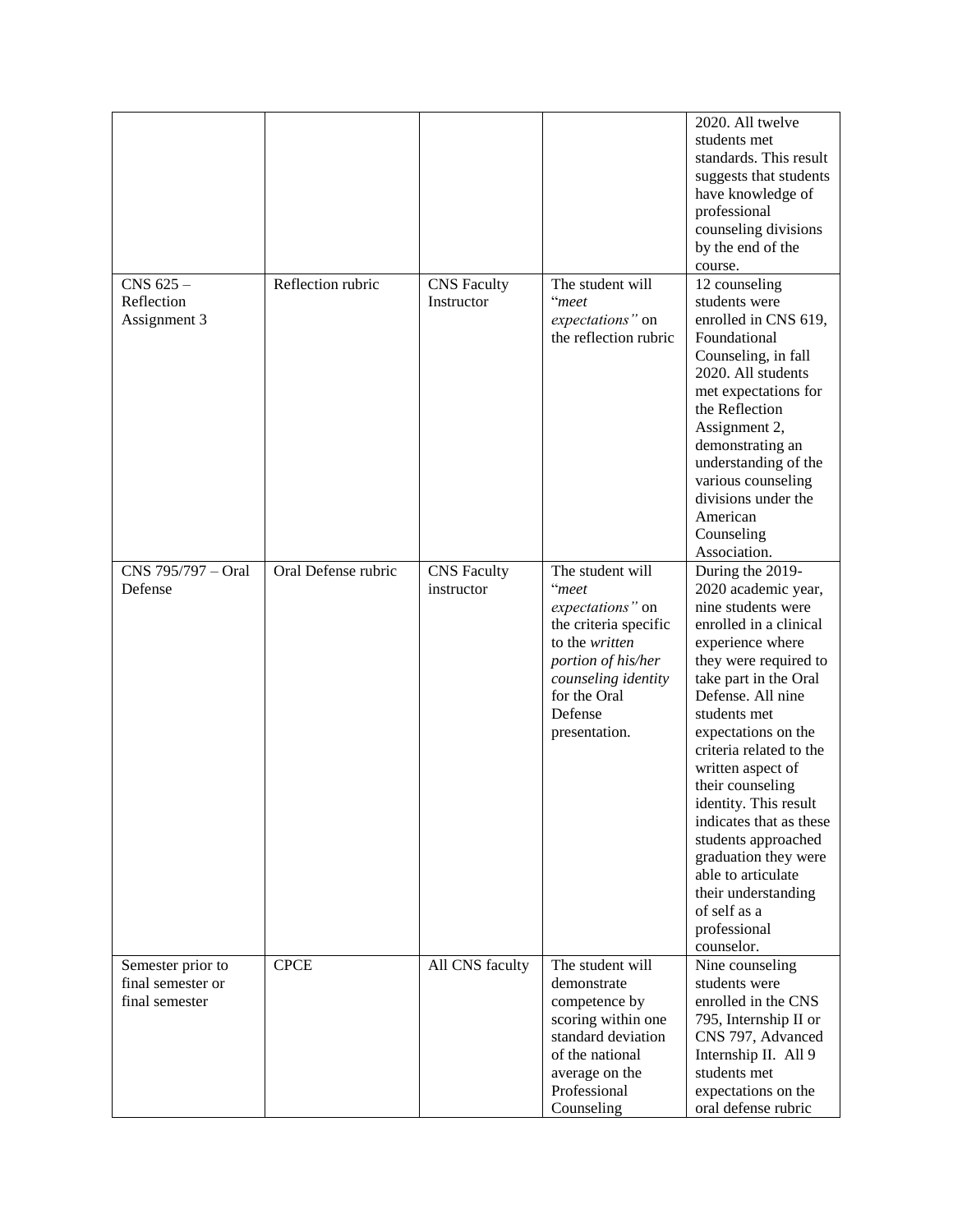|                    |                     |                    |                       | 2020. All twelve        |
|--------------------|---------------------|--------------------|-----------------------|-------------------------|
|                    |                     |                    |                       | students met            |
|                    |                     |                    |                       | standards. This result  |
|                    |                     |                    |                       | suggests that students  |
|                    |                     |                    |                       |                         |
|                    |                     |                    |                       | have knowledge of       |
|                    |                     |                    |                       | professional            |
|                    |                     |                    |                       | counseling divisions    |
|                    |                     |                    |                       | by the end of the       |
|                    |                     |                    |                       | course.                 |
| CNS $625-$         | Reflection rubric   | <b>CNS</b> Faculty | The student will      | 12 counseling           |
| Reflection         |                     | Instructor         | "meet                 | students were           |
| Assignment 3       |                     |                    | expectations" on      | enrolled in CNS 619,    |
|                    |                     |                    | the reflection rubric | Foundational            |
|                    |                     |                    |                       | Counseling, in fall     |
|                    |                     |                    |                       | 2020. All students      |
|                    |                     |                    |                       | met expectations for    |
|                    |                     |                    |                       | the Reflection          |
|                    |                     |                    |                       | Assignment 2,           |
|                    |                     |                    |                       | demonstrating an        |
|                    |                     |                    |                       | understanding of the    |
|                    |                     |                    |                       | various counseling      |
|                    |                     |                    |                       | divisions under the     |
|                    |                     |                    |                       |                         |
|                    |                     |                    |                       | American                |
|                    |                     |                    |                       | Counseling              |
|                    |                     |                    |                       | Association.            |
| CNS 795/797 - Oral | Oral Defense rubric | <b>CNS</b> Faculty | The student will      | During the 2019-        |
| Defense            |                     | instructor         | "meet                 | 2020 academic year,     |
|                    |                     |                    | expectations" on      | nine students were      |
|                    |                     |                    | the criteria specific | enrolled in a clinical  |
|                    |                     |                    | to the written        | experience where        |
|                    |                     |                    | portion of his/her    | they were required to   |
|                    |                     |                    | counseling identity   | take part in the Oral   |
|                    |                     |                    | for the Oral          | Defense. All nine       |
|                    |                     |                    | Defense               | students met            |
|                    |                     |                    | presentation.         | expectations on the     |
|                    |                     |                    |                       | criteria related to the |
|                    |                     |                    |                       | written aspect of       |
|                    |                     |                    |                       | their counseling        |
|                    |                     |                    |                       |                         |
|                    |                     |                    |                       | identity. This result   |
|                    |                     |                    |                       | indicates that as these |
|                    |                     |                    |                       | students approached     |
|                    |                     |                    |                       | graduation they were    |
|                    |                     |                    |                       | able to articulate      |
|                    |                     |                    |                       | their understanding     |
|                    |                     |                    |                       | of self as a            |
|                    |                     |                    |                       | professional            |
|                    |                     |                    |                       | counselor.              |
| Semester prior to  | <b>CPCE</b>         | All CNS faculty    | The student will      | Nine counseling         |
| final semester or  |                     |                    | demonstrate           | students were           |
| final semester     |                     |                    | competence by         | enrolled in the CNS     |
|                    |                     |                    | scoring within one    | 795, Internship II or   |
|                    |                     |                    | standard deviation    | CNS 797, Advanced       |
|                    |                     |                    | of the national       |                         |
|                    |                     |                    |                       | Internship II. All 9    |
|                    |                     |                    | average on the        | students met            |
|                    |                     |                    | Professional          | expectations on the     |
|                    |                     |                    | Counseling            | oral defense rubric     |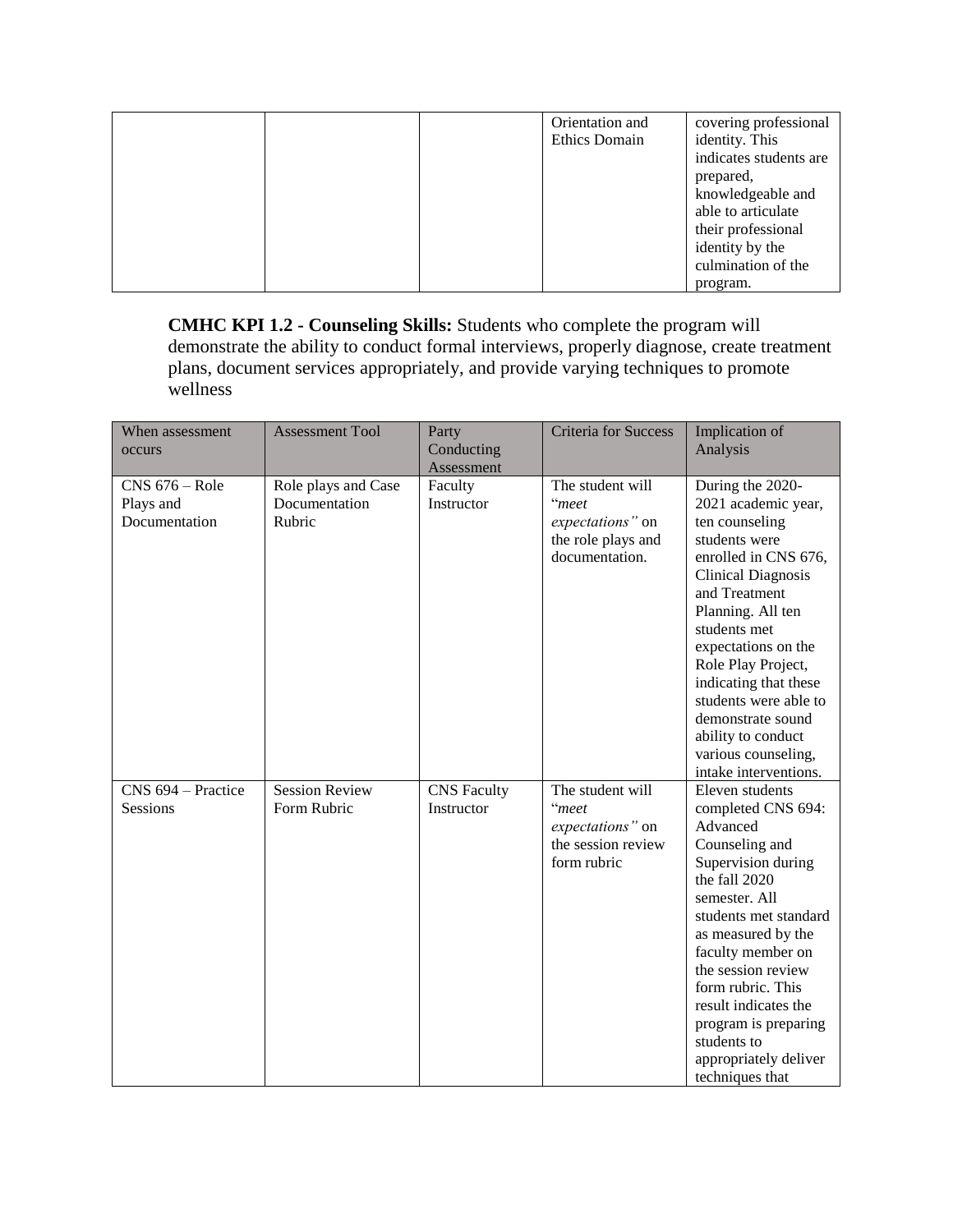|  | Orientation and | covering professional  |
|--|-----------------|------------------------|
|  | Ethics Domain   | identity. This         |
|  |                 | indicates students are |
|  |                 | prepared,              |
|  |                 | knowledgeable and      |
|  |                 | able to articulate     |
|  |                 | their professional     |
|  |                 | identity by the        |
|  |                 | culmination of the     |
|  |                 | program.               |

**CMHC KPI 1.2 - Counseling Skills:** Students who complete the program will demonstrate the ability to conduct formal interviews, properly diagnose, create treatment plans, document services appropriately, and provide varying techniques to promote wellness

| When assessment<br>occurs                      | <b>Assessment Tool</b>                         | Party<br>Conducting              | <b>Criteria for Success</b>                                                                | Implication of<br>Analysis                                                                                                                                                                                                                                                                                                                            |
|------------------------------------------------|------------------------------------------------|----------------------------------|--------------------------------------------------------------------------------------------|-------------------------------------------------------------------------------------------------------------------------------------------------------------------------------------------------------------------------------------------------------------------------------------------------------------------------------------------------------|
|                                                |                                                | Assessment                       |                                                                                            |                                                                                                                                                                                                                                                                                                                                                       |
| $CNS$ 676 – Role<br>Plays and<br>Documentation | Role plays and Case<br>Documentation<br>Rubric | Faculty<br>Instructor            | The student will<br>"meet<br>expectations" on<br>the role plays and<br>documentation.      | During the 2020-<br>2021 academic year,<br>ten counseling<br>students were<br>enrolled in CNS 676,<br><b>Clinical Diagnosis</b><br>and Treatment<br>Planning. All ten<br>students met<br>expectations on the<br>Role Play Project,<br>indicating that these<br>students were able to<br>demonstrate sound<br>ability to conduct                       |
|                                                |                                                |                                  |                                                                                            | various counseling,<br>intake interventions.                                                                                                                                                                                                                                                                                                          |
| CNS 694 – Practice<br>Sessions                 | <b>Session Review</b><br>Form Rubric           | <b>CNS</b> Faculty<br>Instructor | The student will<br>$\lq\lq$ meet<br>expectations" on<br>the session review<br>form rubric | Eleven students<br>completed CNS 694:<br>Advanced<br>Counseling and<br>Supervision during<br>the fall 2020<br>semester. All<br>students met standard<br>as measured by the<br>faculty member on<br>the session review<br>form rubric. This<br>result indicates the<br>program is preparing<br>students to<br>appropriately deliver<br>techniques that |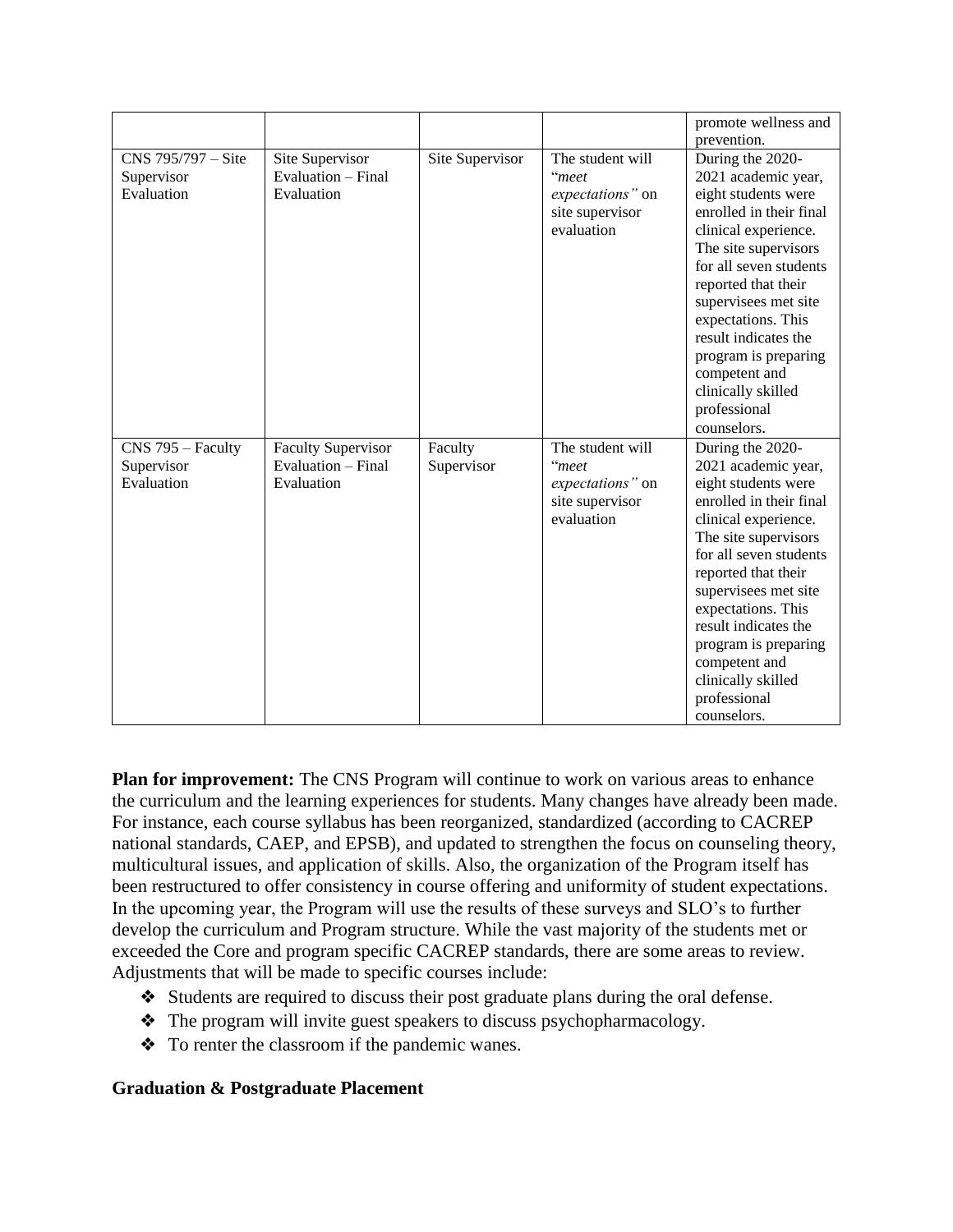|                    |                           |                 |                  | promote wellness and    |
|--------------------|---------------------------|-----------------|------------------|-------------------------|
|                    |                           |                 |                  | prevention.             |
| CNS 795/797 - Site | Site Supervisor           | Site Supervisor | The student will | During the 2020-        |
| Supervisor         | Evaluation - Final        |                 | "meet            | 2021 academic year,     |
| Evaluation         | Evaluation                |                 | expectations" on | eight students were     |
|                    |                           |                 | site supervisor  | enrolled in their final |
|                    |                           |                 | evaluation       | clinical experience.    |
|                    |                           |                 |                  | The site supervisors    |
|                    |                           |                 |                  | for all seven students  |
|                    |                           |                 |                  | reported that their     |
|                    |                           |                 |                  | supervisees met site    |
|                    |                           |                 |                  | expectations. This      |
|                    |                           |                 |                  | result indicates the    |
|                    |                           |                 |                  | program is preparing    |
|                    |                           |                 |                  | competent and           |
|                    |                           |                 |                  | clinically skilled      |
|                    |                           |                 |                  | professional            |
|                    |                           |                 |                  | counselors.             |
| CNS 795 - Faculty  | <b>Faculty Supervisor</b> | Faculty         | The student will | During the 2020-        |
| Supervisor         | Evaluation – Final        | Supervisor      | "meet            | 2021 academic year,     |
| Evaluation         | Evaluation                |                 | expectations" on | eight students were     |
|                    |                           |                 | site supervisor  | enrolled in their final |
|                    |                           |                 | evaluation       | clinical experience.    |
|                    |                           |                 |                  | The site supervisors    |
|                    |                           |                 |                  | for all seven students  |
|                    |                           |                 |                  | reported that their     |
|                    |                           |                 |                  | supervisees met site    |
|                    |                           |                 |                  | expectations. This      |
|                    |                           |                 |                  | result indicates the    |
|                    |                           |                 |                  | program is preparing    |
|                    |                           |                 |                  | competent and           |
|                    |                           |                 |                  | clinically skilled      |
|                    |                           |                 |                  | professional            |
|                    |                           |                 |                  | counselors.             |

**Plan for improvement:** The CNS Program will continue to work on various areas to enhance the curriculum and the learning experiences for students. Many changes have already been made. For instance, each course syllabus has been reorganized, standardized (according to CACREP national standards, CAEP, and EPSB), and updated to strengthen the focus on counseling theory, multicultural issues, and application of skills. Also, the organization of the Program itself has been restructured to offer consistency in course offering and uniformity of student expectations. In the upcoming year, the Program will use the results of these surveys and SLO's to further develop the curriculum and Program structure. While the vast majority of the students met or exceeded the Core and program specific CACREP standards, there are some areas to review. Adjustments that will be made to specific courses include:

- ❖ Students are required to discuss their post graduate plans during the oral defense.
- ❖ The program will invite guest speakers to discuss psychopharmacology.
- ❖ To renter the classroom if the pandemic wanes.

## **Graduation & Postgraduate Placement**